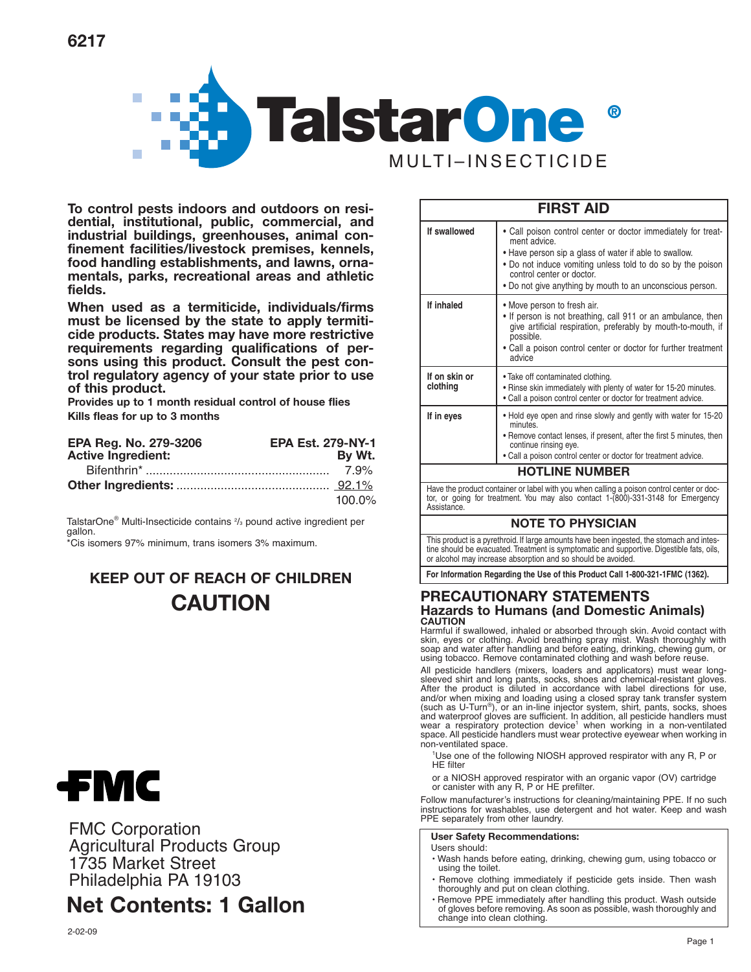

**To control pests indoors and outdoors on residential, institutional, public, commercial, and industrial buildings, greenhouses, animal confinement facilities/livestock premises, kennels, food handling establishments, and lawns, ornamentals, parks, recreational areas and athletic fields.**

**When used as a termiticide, individuals/firms must be licensed by the state to apply termiticide products. States may have more restrictive requirements regarding qualifications of persons using this product. Consult the pest control regulatory agency of your state prior to use of this product.**

**Provides up to 1 month residual control of house flies Kills fleas for up to 3 months**

| EPA Reg. No. 279-3206     | <b>EPA Est. 279-NY-1</b> |
|---------------------------|--------------------------|
| <b>Active Ingredient:</b> | By Wt.                   |
|                           | 7.9%                     |
|                           |                          |
|                           | $100.0\%$                |

TalstarOne® Multi-Insecticide contains <sup>2</sup>/<sub>3</sub> pound active ingredient per gallon.

\*Cis isomers 97% minimum, trans isomers 3% maximum.

# **KEEP OUT OF REACH OF CHILDREN CAUTION**



FMC Corporation Agricultural Products Group 1735 Market Street Philadelphia PA 19103

# **Net Contents: 1 Gallon**

| If swallowed              | • Call poison control center or doctor immediately for treat-<br>ment advice.<br>• Have person sip a glass of water if able to swallow.<br>• Do not induce vomiting unless told to do so by the poison<br>control center or doctor.<br>• Do not give anything by mouth to an unconscious person. |  |  |  |
|---------------------------|--------------------------------------------------------------------------------------------------------------------------------------------------------------------------------------------------------------------------------------------------------------------------------------------------|--|--|--|
| If inhaled                | • Move person to fresh air.<br>. If person is not breathing, call 911 or an ambulance, then<br>give artificial respiration, preferably by mouth-to-mouth, if<br>possible.<br>• Call a poison control center or doctor for further treatment<br>advice                                            |  |  |  |
| If on skin or<br>clothing | . Take off contaminated clothing.<br>. Rinse skin immediately with plenty of water for 15-20 minutes.<br>. Call a poison control center or doctor for treatment advice.                                                                                                                          |  |  |  |
| If in eyes                | . Hold eye open and rinse slowly and gently with water for 15-20<br>minutes<br>• Remove contact lenses, if present, after the first 5 minutes, then<br>continue rinsing eye.<br>• Call a poison control center or doctor for treatment advice.                                                   |  |  |  |
| <b>HOTLINE NUMBER</b>     |                                                                                                                                                                                                                                                                                                  |  |  |  |
|                           | Have the product container or label with you when calling a poison control center or doc-                                                                                                                                                                                                        |  |  |  |

**FIRST AID**

Have the product container or label with you when calling a poison control center or doc-tor, or going for treatment. You may also contact 1-(800)-331-3148 for Emergency Assistance.

# **NOTE TO PHYSICIAN**

This product is a pyrethroid. If large amounts have been ingested, the stomach and intestine should be evacuated. Treatment is symptomatic and supportive. Digestible fats, oils, or alcohol may increase absorption and so should be avoided.

**For Information Regarding the Use of this Product Call 1-800-321-1FMC (1362).**

# **PRECAUTIONARY STATEMENTS Hazards to Humans (and Domestic Animals) CAUTION**

Harmful if swallowed, inhaled or absorbed through skin. Avoid contact with skin, eyes or clothing. Avoid breathing spray mist. Wash thoroughly with soap and water after handling and before eating, drinking, chewing gum, or using tobacco. Remove contaminated clothing and wash before reuse.

All pesticide handlers (mixers, loaders and applicators) must wear longsleeved shirt and long pants, socks, shoes and chemical-resistant gloves. After the product is diluted in accordance with label directions for use, and/or when mixing and loading using a closed spray tank transfer system (such as U-Turn®), or an in-line injector system, shirt, pants, socks, shoes<br>and waterproof gloves are sufficient. In addition, all pesticide handlers must<br>wear a respiratory protection device<sup>1</sup> when working in a non-vent space. All pesticide handlers must wear protective eyewear when working in non-ventilated space.

<sup>1</sup>Use one of the following NIOSH approved respirator with any R, P or HE filter

or a NIOSH approved respirator with an organic vapor (OV) cartridge or canister with any R, P or HE prefilter.

Follow manufacturer's instructions for cleaning/maintaining PPE. If no such instructions for washables, use detergent and hot water. Keep and wash PPE separately from other laundry.

**User Safety Recommendations:**

Users should:

- Wash hands before eating, drinking, chewing gum, using tobacco or using the toilet.
- Remove clothing immediately if pesticide gets inside. Then wash thoroughly and put on clean clothing.
- Remove PPE immediately after handling this product. Wash outside of gloves before removing. As soon as possible, wash thoroughly and change into clean clothing.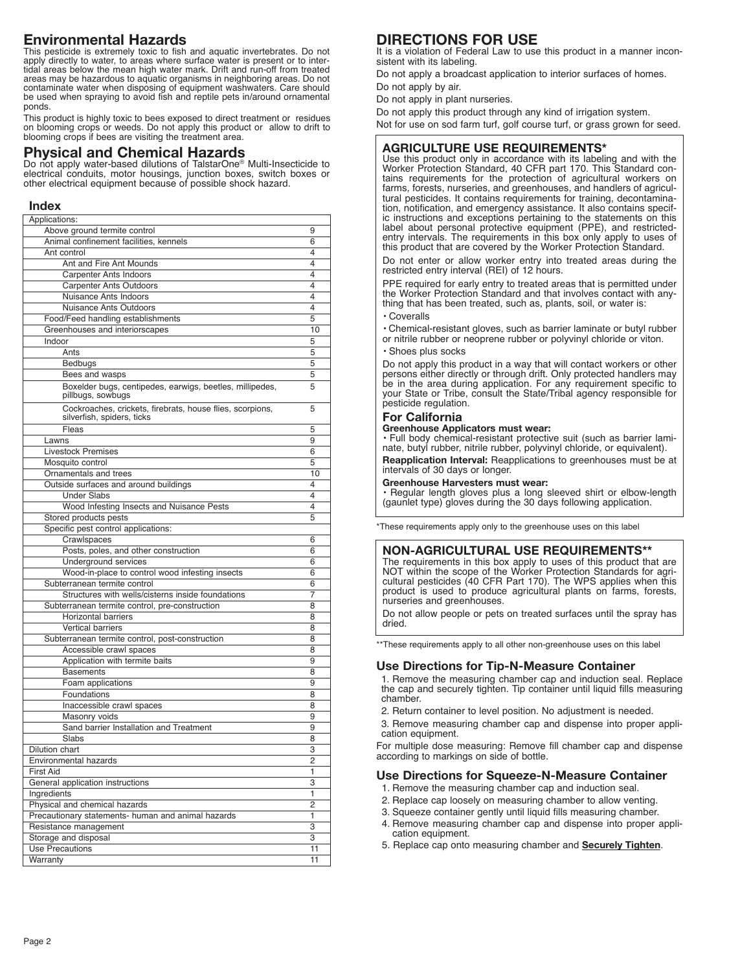# **Environmental Hazards**

This pesticide is extremely toxic to fish and aquatic invertebrates. Do not apply directly to water, to areas where surface water is present or to intertidal areas below the mean high water mark. Drift and run-off from treated areas may be hazardous to aquatic organisms in neighboring areas. Do not contaminate water when disposing of equipment washwaters. Care should be used when spraying to avoid fish and reptile pets in/around ornamental ponds.

This product is highly toxic to bees exposed to direct treatment or residues on blooming crops or weeds. Do not apply this product or allow to drift to blooming crops if bees are visiting the treatment area.

# **Physical and Chemical Hazards**

Do not apply water-based dilutions of TalstarOne® Multi-Insecticide to electrical conduits, motor housings, junction boxes, switch boxes or other electrical equipment because of possible shock hazard.

# **Index**

| Applications:                                                                           |                |
|-----------------------------------------------------------------------------------------|----------------|
| Above ground termite control                                                            | 9              |
| Animal confinement facilities, kennels                                                  | 6              |
| Ant control                                                                             | 4              |
| Ant and Fire Ant Mounds                                                                 | 4              |
| <b>Carpenter Ants Indoors</b>                                                           | 4              |
| <b>Carpenter Ants Outdoors</b>                                                          | 4              |
| Nuisance Ants Indoors                                                                   | 4              |
| <b>Nuisance Ants Outdoors</b>                                                           | 4              |
| Food/Feed handling establishments                                                       | 5              |
| Greenhouses and interiorscapes                                                          | 10             |
| Indoor                                                                                  | 5              |
| Ants                                                                                    | 5              |
| Bedbugs                                                                                 | 5              |
| Bees and wasps                                                                          | 5              |
| Boxelder bugs, centipedes, earwigs, beetles, millipedes,<br>pillbugs, sowbugs           | 5              |
| Cockroaches, crickets, firebrats, house flies, scorpions,<br>silverfish, spiders, ticks | 5              |
| Fleas                                                                                   | 5              |
| Lawns                                                                                   | 9              |
| <b>Livestock Premises</b>                                                               | 6              |
| Mosquito control                                                                        | 5              |
| Ornamentals and trees                                                                   | 10             |
| Outside surfaces and around buildings                                                   | 4              |
| <b>Under Slabs</b>                                                                      | 4              |
| Wood Infesting Insects and Nuisance Pests                                               | 4              |
| Stored products pests                                                                   | 5              |
| Specific pest control applications:                                                     |                |
| Crawlspaces                                                                             | 6              |
| Posts, poles, and other construction                                                    | 6              |
| <b>Underground services</b>                                                             | 6              |
| Wood-in-place to control wood infesting insects                                         | 6              |
| Subterranean termite control                                                            | 6              |
| Structures with wells/cisterns inside foundations                                       | 7              |
| Subterranean termite control, pre-construction                                          | 8              |
| <b>Horizontal barriers</b>                                                              |                |
| <b>Vertical barriers</b>                                                                | 8              |
| Subterranean termite control, post-construction                                         | 8              |
|                                                                                         | 8              |
| Accessible crawl spaces                                                                 | 8              |
| Application with termite baits                                                          | 9              |
| <b>Basements</b>                                                                        | 8              |
| Foam applications                                                                       | 9              |
| Foundations                                                                             | 8              |
| Inaccessible crawl spaces                                                               | 8              |
| Masonry voids                                                                           | 9              |
| Sand barrier Installation and Treatment                                                 | 9              |
| Slabs                                                                                   | 8              |
| <b>Dilution chart</b>                                                                   | 3              |
| <b>Environmental hazards</b>                                                            | $\overline{2}$ |
| <b>First Aid</b>                                                                        | 1              |
| General application instructions                                                        | 3              |
| Ingredients                                                                             | 1              |
| Physical and chemical hazards                                                           | 2              |
| Precautionary statements- human and animal hazards                                      | 1              |
| Resistance management                                                                   | 3              |
| Storage and disposal                                                                    | 3              |
| Use Precautions                                                                         | 11             |
| Warranty                                                                                | 11             |

# **DIRECTIONS FOR USE**

It is a violation of Federal Law to use this product in a manner inconsistent with its labeling.

Do not apply a broadcast application to interior surfaces of homes.

Do not apply by air.

Do not apply in plant nurseries.

Do not apply this product through any kind of irrigation system.

Not for use on sod farm turf, golf course turf, or grass grown for seed.

# **AGRICULTURE USE REQUIREMENTS\***

Use this product only in accordance with its labeling and with the Worker Protection Standard, 40 CFR part 170. This Standard contains requirements for the protection of agricultural workers on farms, forests, nurseries, and greenhouses, and handlers of agricultural pesticides. It contains requirements for training, decontamination, notification, and emergency assistance. It also contains specif-ic instructions and exceptions pertaining to the statements on this label about personal protective equipment (PPE), and restrictedentry intervals. The requirements in this box only apply to uses of this product that are covered by the Worker Protection Standard.

Do not enter or allow worker entry into treated areas during the restricted entry interval (REI) of 12 hours.

PPE required for early entry to treated areas that is permitted under the Worker Protection Standard and that involves contact with anything that has been treated, such as, plants, soil, or water is:

• Coveralls

• Chemical-resistant gloves, such as barrier laminate or butyl rubber or nitrile rubber or neoprene rubber or polyvinyl chloride or viton.

• Shoes plus socks

Do not apply this product in a way that will contact workers or other persons either directly or through drift. Only protected handlers may be in the area during application. For any requirement specific to your State or Tribe, consult the State/Tribal agency responsible for pesticide regulation.

# **For California**

#### **Greenhouse Applicators must wear:**

• Full body chemical-resistant protective suit (such as barrier lami-nate, butyl rubber, nitrile rubber, polyvinyl chloride, or equivalent).

**Reapplication Interval:** Reapplications to greenhouses must be at intervals of 30 days or longer.

### **Greenhouse Harvesters must wear:**

• Regular length gloves plus a long sleeved shirt or elbow-length (gaunlet type) gloves during the 30 days following application.

\*These requirements apply only to the greenhouse uses on this label

# **NON-AGRICULTURAL USE REQUIREMENTS\*\***

The requirements in this box apply to uses of this product that are NOT within the scope of the Worker Protection Standards for agri-cultural pesticides (40 CFR Part 170). The WPS applies when this product is used to produce agricultural plants on farms, forests, nurseries and greenhouses.

Do not allow people or pets on treated surfaces until the spray has dried.

\*\*These requirements apply to all other non-greenhouse uses on this label

## **Use Directions for Tip-N-Measure Container**

1. Remove the measuring chamber cap and induction seal. Replace the cap and securely tighten. Tip container until liquid fills measuring chamber.

2. Return container to level position. No adjustment is needed.

3. Remove measuring chamber cap and dispense into proper application equipment.

For multiple dose measuring: Remove fill chamber cap and dispense according to markings on side of bottle.

# **Use Directions for Squeeze-N-Measure Container**

- 1. Remove the measuring chamber cap and induction seal.
- 2. Replace cap loosely on measuring chamber to allow venting.
- 3. Squeeze container gently until liquid fills measuring chamber.
- 4. Remove measuring chamber cap and dispense into proper application equipment.
- 5. Replace cap onto measuring chamber and **Securely Tighten**.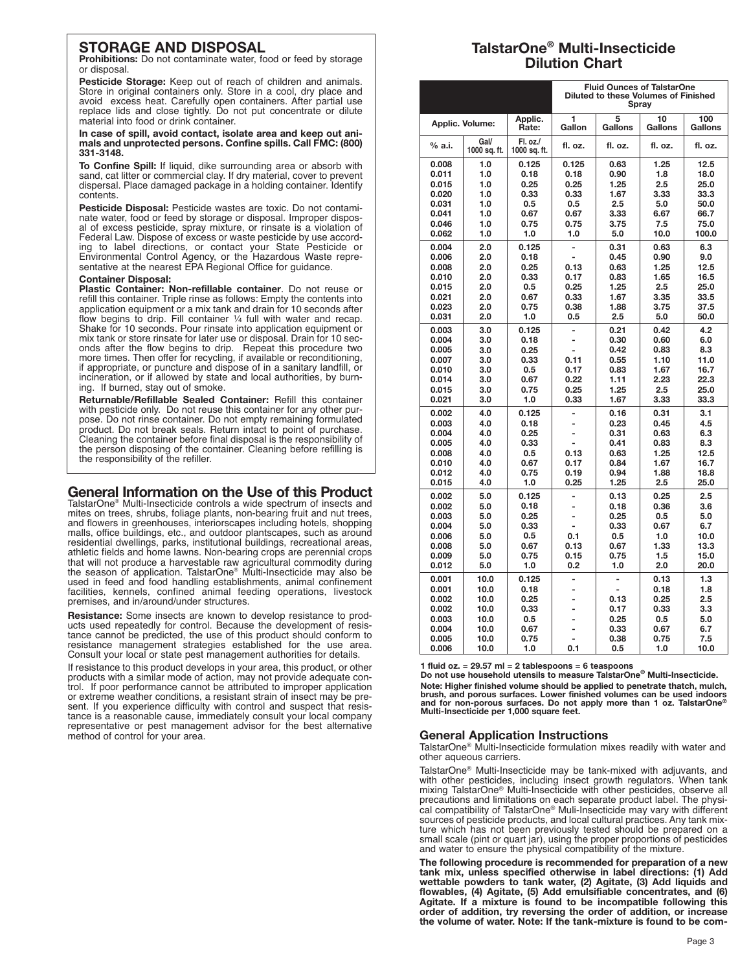# **STORAGE AND DISPOSAL**

**Prohibitions:** Do not contaminate water, food or feed by storage or disposal.

**Pesticide Storage:** Keep out of reach of children and animals. Store in original containers only. Store in a cool, dry place and avoid excess heat. Carefully open containers. After partial use replace lids and close tightly. Do not put concentrate or dilute material into food or drink container.

**In case of spill, avoid contact, isolate area and keep out animals and unprotected persons. Confine spills. Call FMC: (800) 331-3148.**

**To Confine Spill:** If liquid, dike surrounding area or absorb with sand, cat litter or commercial clay. If dry material, cover to prevent dispersal. Place damaged package in a holding container. Identify contents.

**Pesticide Disposal:** Pesticide wastes are toxic. Do not contami-nate water, food or feed by storage or disposal. Improper disposal of excess pesticide, spray mixture, or rinsate is a violation of Federal Law. Dispose of excess or waste pesticide by use accord-<br>ing to label directions, or contact your State Pesticide or<br>Environmental Control Agency, or the Hazardous Waste repre-<br>sentative at the nearest EPA Regional

#### **Container Disposal:**

**Plastic Container: Non-refillable container**. Do not reuse or refill this container. Triple rinse as follows: Empty the contents into application equipment or a mix tank and drain for 10 seconds after flow begins to drip. Fill container  $\frac{1}{4}$  full with water and recap. Shake for 10 seconds. Pour rinsate into application equipment or mix tank or store rinsate for later use or disposal. Drain for 10 seconds after the flow begins to drip. Repeat this procedure two more times. Then offer for recycling, if available or reconditioning, if appropriate, or puncture and dispose of in a sanitary landfill, or incineration, or if allowed by state and local authorities, by burning. If burned, stay out of smoke.

**Returnable/Refillable Sealed Container:** Refill this container with pesticide only. Do not reuse this container for any other purpose. Do not rinse container. Do not empty remaining formulated product. Do not break seals. Return intact to point of purchase. Cleaning the container before final disposal is the responsibility of the person disposing of the container. Cleaning before refilling is the responsibility of the refiller.

# **General Information on the Use of this Product**

TalstarOne® Multi-Insecticide controls a wide spectrum of insects and mites on trees, shrubs, foliage plants, non-bearing fruit and nut trees, and flowers in greenhouses, interiorscapes including hotels, shopping malls, office buildings, etc., and outdoor plantscapes, such as around residential dwellings, parks, institutional buildings, recreational areas, athletic fields and home lawns. Non-bearing crops are perennial crops that will not produce a harvestable raw agricultural commodity during the season of application. TalstarOne® Multi-Insecticide may also be used in feed and food handling establishments, animal confinement facilities, kennels, confined animal feeding operations, livestock premises, and in/around/under structures.

**Resistance:** Some insects are known to develop resistance to products used repeatedly for control. Because the development of resistance cannot be predicted, the use of this product should conform to resistance management strategies established for the use area. Consult your local or state pest management authorities for details.

If resistance to this product develops in your area, this product, or other products with a similar mode of action, may not provide adequate control. If poor performance cannot be attributed to improper application or extreme weather conditions, a resistant strain of insect may be present. If you experience difficulty with control and suspect that resistance is a reasonable cause, immediately consult your local company representative or pest management advisor for the best alternative method of control for your area.

# **TalstarOne® Multi-Insecticide Dilution Chart**

|  |                 | <b>Fluid Ounces of TalstarOne</b><br>Diluted to these Volumes of Finished<br>Spray |                          |                                  |                          |               |                |
|--|-----------------|------------------------------------------------------------------------------------|--------------------------|----------------------------------|--------------------------|---------------|----------------|
|  | Applic. Volume: |                                                                                    | Applic.<br>Rate:         | 1<br>Gallon                      | 5<br>Gallons             | 10<br>Gallons | 100<br>Gallons |
|  | % a.i.          | Gal/<br>1000 sq. ft.                                                               | Fl. oz./<br>1000 sq. ft. | fl. oz.                          | fl. oz.                  | fl. oz.       | fl. oz.        |
|  | 0.008           | 1.0                                                                                | 0.125                    | 0.125                            | 0.63                     | 1.25          | 12.5           |
|  | 0.011           | 1.0                                                                                | 0.18                     | 0.18                             | 0.90                     | 1.8           | 18.0           |
|  | 0.015           | 1.0                                                                                | 0.25                     | 0.25                             | 1.25                     | 2.5           | 25.0           |
|  | 0.020           | 1.0                                                                                | 0.33                     | 0.33                             | 1.67                     | 3.33          | 33.3           |
|  | 0.031           | 1.0                                                                                | 0.5                      | 0.5                              | 2.5                      | 5.0           | 50.0           |
|  | 0.041           | 1.0                                                                                | 0.67                     | 0.67                             | 3.33                     | 6.67          | 66.7           |
|  | 0.046           | 1.0                                                                                | 0.75                     | 0.75                             | 3.75                     | 7.5           | 75.0           |
|  | 0.062           | 1.0                                                                                | 1.0                      | 1.0                              | 5.0                      | 10.0          | 100.0          |
|  | 0.004           | 2.0                                                                                | 0.125                    | $\overline{a}$                   | 0.31                     | 0.63          | 6.3            |
|  | 0.006           | 2.0                                                                                | 0.18                     | $\overline{a}$                   | 0.45                     | 0.90          | 9.0            |
|  | 0.008           | 2.0                                                                                | 0.25                     | 0.13                             | 0.63                     | 1.25          | 12.5           |
|  | 0.010           | 2.0                                                                                | 0.33                     | 0.17                             | 0.83                     | 1.65          | 16.5           |
|  | 0.015           | 2.0                                                                                | 0.5                      | 0.25                             | 1.25                     | 2.5           | 25.0           |
|  | 0.021           | 2.0                                                                                | 0.67                     | 0.33                             | 1.67                     | 3.35          | 33.5           |
|  | 0.023           | 2.0                                                                                | 0.75                     | 0.38                             | 1.88                     | 3.75          | 37.5           |
|  | 0.031           | 2.0                                                                                | 1.0                      | 0.5                              | 2.5                      | 5.0           | 50.0           |
|  | 0.003           | 3.0                                                                                | 0.125                    | $\overline{a}$                   | 0.21                     | 0.42          | 4.2            |
|  | 0.004           | 3.0                                                                                | 0.18                     | $\overline{a}$                   | 0.30                     | 0.60          | 6.0            |
|  | 0.005           | 3.0                                                                                | 0.25                     |                                  | 0.42                     | 0.83          | 8.3            |
|  | 0.007           | 3.0                                                                                | 0.33                     | 0.11                             | 0.55                     | 1.10          | 11.0           |
|  | 0.010           | 3.0                                                                                | 0.5                      | 0.17                             | 0.83                     | 1.67          | 16.7           |
|  | 0.014           | 3.0                                                                                | 0.67                     | 0.22                             | 1.11                     | 2.23          | 22.3           |
|  | 0.015           | 3.0                                                                                | 0.75                     | 0.25                             | 1.25                     | 2.5           | 25.0           |
|  | 0.021           | 3.0                                                                                | 1.0                      | 0.33                             | 1.67                     | 3.33          | 33.3           |
|  | 0.002           | 4.0                                                                                | 0.125                    | $\overline{a}$                   | 0.16                     | 0.31          | 3.1            |
|  | 0.003           | 4.0                                                                                | 0.18                     | $\overline{\phantom{0}}$         | 0.23                     | 0.45          | 4.5            |
|  | 0.004           | 4.0                                                                                | 0.25                     | $\overline{a}$                   | 0.31                     | 0.63          | 6.3            |
|  | 0.005           | 4.0                                                                                | 0.33                     |                                  | 0.41                     | 0.83          | 8.3            |
|  | 0.008           | 4.0                                                                                | 0.5                      | 0.13                             | 0.63                     | 1.25          | 12.5           |
|  | 0.010           | 4.0                                                                                | 0.67                     | 0.17                             | 0.84                     | 1.67          | 16.7           |
|  | 0.012           | 4.0                                                                                | 0.75                     | 0.19                             | 0.94                     | 1.88          | 18.8           |
|  | 0.015           | 4.0                                                                                | 1.0                      | 0.25                             | 1.25                     | 2.5           | 25.0           |
|  | 0.002           | 5.0                                                                                | 0.125                    | $\overline{\phantom{0}}$         | 0.13                     | 0.25          | 2.5            |
|  | 0.002           | 5.0                                                                                | 0.18                     | $\overline{a}$                   | 0.18                     | 0.36          | 3.6            |
|  | 0.003           | 5.0                                                                                | 0.25                     | $\overline{a}$                   | 0.25                     | 0.5           | 5.0            |
|  | 0.004           | 5.0                                                                                | 0.33                     |                                  | 0.33                     | 0.67          | 6.7            |
|  | 0.006           | 5.0                                                                                | 0.5                      | 0.1                              | 0.5                      | 1.0           | 10.0           |
|  | 0.008           | 5.0                                                                                | 0.67                     | 0.13                             | 0.67                     | 1.33          | 13.3           |
|  | 0.009           | 5.0                                                                                | 0.75                     | 0.15<br>0.2                      | 0.75<br>1.0              | 1.5           | 15.0<br>20.0   |
|  | 0.012           | 5.0                                                                                | 1.0                      |                                  |                          | 2.0           |                |
|  | 0.001           | 10.0                                                                               | 0.125                    | -                                | $\overline{\phantom{0}}$ | 0.13          | 1.3            |
|  | 0.001           | 10.0                                                                               | 0.18                     | $\overline{a}$                   | $\overline{a}$           | 0.18          | 1.8            |
|  | 0.002           | 10.0                                                                               | 0.25                     |                                  | 0.13                     | 0.25          | 2.5            |
|  | 0.002           | 10.0                                                                               | 0.33                     |                                  | 0.17                     | 0.33          | 3.3            |
|  | 0.003<br>0.004  | 10.0<br>10.0                                                                       | 0.5<br>0.67              | $\overline{a}$<br>$\overline{a}$ | 0.25<br>0.33             | 0.5<br>0.67   | 5.0<br>6.7     |
|  | 0.005           | 10.0                                                                               | 0.75                     | $\overline{\phantom{0}}$         | 0.38                     | 0.75          | 7.5            |
|  | 0.006           | 10.0                                                                               | 1.0                      | 0.1                              | 0.5                      | 1.0           | 10.0           |
|  |                 |                                                                                    |                          |                                  |                          |               |                |

**1 fluid oz. = 29.57 ml = 2 tablespoons = 6 teaspoons**

**Do not use household utensils to measure TalstarOne® Multi-Insecticide. Note: Higher finished volume should be applied to penetrate thatch, mulch, brush, and porous surfaces. Lower finished volumes can be used indoors and for non-porous surfaces. Do not apply more than 1 oz. TalstarOne® Multi-Insecticide per 1,000 square feet.**

# **General Application Instructions**

TalstarOne® Multi-Insecticide formulation mixes readily with water and other aqueous carriers.

TalstarOne® Multi-Insecticide may be tank-mixed with adjuvants, and with other pesticides, including insect growth regulators. When tank mixing TalstarOne® Multi-Insecticide with other pesticides, observe all precautions and limitations on each separate product label. The physical compatibility of TalstarOne® Muli-Insecticide may vary with different sources of pesticide products, and local cultural practices. Any tank mixture which has not been previously tested should be prepared on a small scale (pint or quart jar), using the proper proportions of pesticides and water to ensure the physical compatibility of the mixture.

**The following procedure is recommended for preparation of a new tank mix, unless specified otherwise in label directions: (1) Add wettable powders to tank water, (2) Agitate, (3) Add liquids and flowables, (4) Agitate, (5) Add emulsifiable concentrates, and (6) Agitate. If a mixture is found to be incompatible following this order of addition, try reversing the order of addition, or increase the volume of water. Note: If the tank-mixture is found to be com-**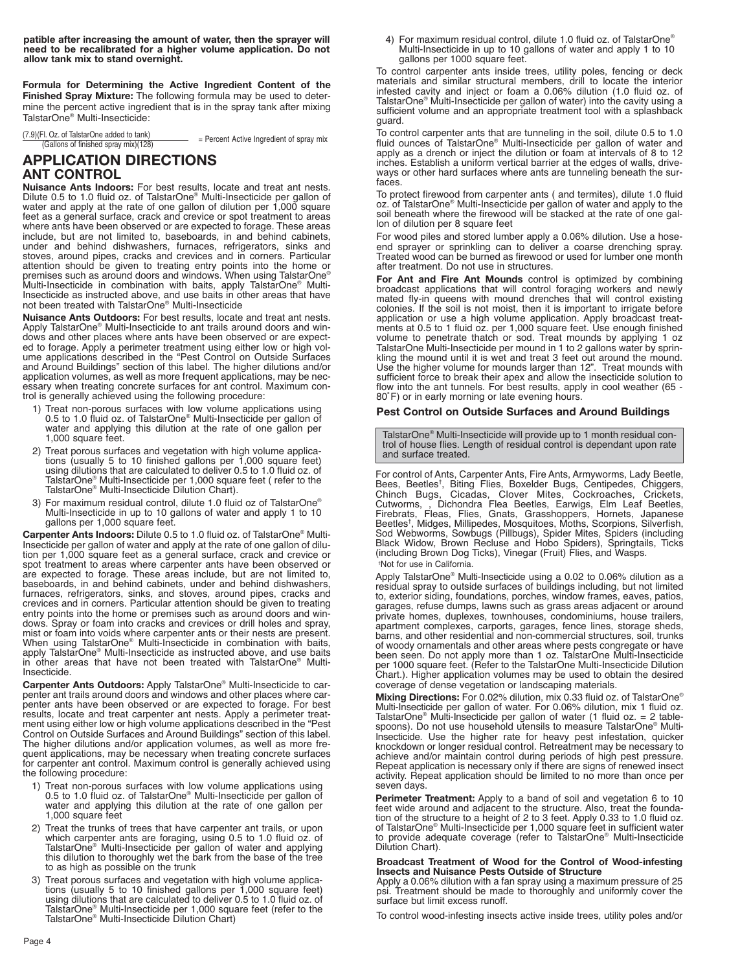**patible after increasing the amount of water, then the sprayer will need to be recalibrated for a higher volume application. Do not allow tank mix to stand overnight.**

**Formula for Determining the Active Ingredient Content of the Finished Spray Mixture:** The following formula may be used to determine the percent active ingredient that is in the spray tank after mixing TalstarOne® Multi-Insecticide:

(7.9)(Fl. Oz. of TalstarOne added to tank) -i. Oz. or iaistarOne added to tank)<br>(Gallons of finished spray mix)(128)  $=$  Percent Active Ingredient of spray mix

# **APPLICATION DIRECTIONS ANT CONTROL**

**Nuisance Ants Indoors:** For best results, locate and treat ant nests. Dilute 0.5 to 1.0 fluid oz. of TalstarOne® Multi-Insecticide per gallon of water and apply at the rate of one gallon of dilution per 1,000 square feet as a general surface, crack and crevice or spot treatment to areas where ants have been observed or are expected to forage. These areas include, but are not limited to, baseboards, in and behind cabinets, under and behind dishwashers, furnaces, refrigerators, sinks and stoves, around pipes, cracks and crevices and in corners. Particular attention should be given to treating entry points into the home or premises such as around doors and windows. When using TalstarOne® Multi-Insecticide in combination with baits, apply TalstarOne® Multi-Insecticide as instructed above, and use baits in other areas that have not been treated with TalstarOne® Multi-Insecticide

**Nuisance Ants Outdoors:** For best results, locate and treat ant nests. Apply TalstarOne® Multi-Insecticide to ant trails around doors and win-dows and other places where ants have been observed or are expected to forage. Apply a perimeter treatment using either low or high vol-ume applications described in the "Pest Control on Outside Surfaces and Around Buildings" section of this label. The higher dilutions and/or application volumes, as well as more frequent applications, may be nec-essary when treating concrete surfaces for ant control. Maximum control is generally achieved using the following procedure:

- 1) Treat non-porous surfaces with low volume applications using 0.5 to 1.0 fluid oz. of TalstarOne® Multi-Insecticide per gallon of water and applying this dilution at the rate of one gallon per 1,000 square feet.
- 2) Treat porous surfaces and vegetation with high volume applications (usually 5 to 10 finished gallons per 1,000 square feet) using dilutions that are calculated to deliver 0.5 to 1.0 fluid oz. of TalstarOne® Multi-Insec
- 3) For maximum residual control, dilute 1.0 fluid oz of TalstarOne® Multi-Insecticide in up to 10 gallons of water and apply 1 to 10 gallons per 1,000 square feet.

**Carpenter Ants Indoors:** Dilute 0.5 to 1.0 fluid oz. of TalstarOne® Multi-Insecticide per gallon of water and apply at the rate of one gallon of dilu-tion per 1,000 square feet as a general surface, crack and crevice or spot treatment to areas where carpenter ants have been observed or are expected to forage. These areas include, but are not limited to, baseboards, in and behind cabinets, under and behind dishwashers, furnaces, refrigerators, sinks, and stoves, around pipes, cracks and crevices and in corners. Particular attention should be given to treating entry points into the home or premises such as around doors and windows. Spray or foam into cracks and crevices or drill holes and spray, mist or foam into voids where carpenter ants or their nests are present. When using TalstarOne® Multi-Insecticide in combination with baits, apply TalstarOne® Multi-Insecticide as instructed above, and use baits in other areas that have not been treated with TalstarOne® Multi-Insecticide.

**Carpenter Ants Outdoors:** Apply TalstarOne® Multi-Insecticide to carpenter ant trails around doors and windows and other places where carpenter ants have been observed or are expected to forage. For best results, locate and treat carpenter ant nests. Apply a perimeter treatment using either low or high volume applications described in the "Pest Control on Outside Surfaces and Around Buildings" section of this label. The higher dilutions and/or application volumes, as well as more frequent applications, may be necessary when treating concrete surfaces for carpenter ant control. Maximum control is generally achieved using the following procedure:

- 1) Treat non-porous surfaces with low volume applications using 0.5 to 1.0 fluid oz. of TalstarOne® Multi-Insecticide per gallon of water and applying this dilution at the rate of one gallon per 1,000 square feet
- 2) Treat the trunks of trees that have carpenter ant trails, or upon which carpenter ants are foraging, using 0.5 to 1.0 fluid oz. of TalstarOne® Multi-Insecticide per gallon of water and applying this dilution to thoroughly wet the bark from the base of the tree to as high as possible on the trunk
- 3) Treat porous surfaces and vegetation with high volume applications (usually 5 to 10 finished gallons per 1,000 square feet) using dilutions that are calculated to deliver 0.5 to 1.0 fluid oz. of TalstarOne® Multi-Insecticide per 1,000 square feet (refer to the TalstarOne® Multi-Insecticide Dilution Chart)

4) For maximum residual control, dilute 1.0 fluid oz. of TalstarOne® Multi-Insecticide in up to 10 gallons of water and apply 1 to 10 gallons per 1000 square feet.

To control carpenter ants inside trees, utility poles, fencing or deck materials and similar structural members, drill to locate the interior infested cavity and inject or foam a 0.06% dilution (1.0 fluid oz. of TalstarOne® Multi-Insecticide per gallon of water) into the cavity using a sufficient volume and an appropriate treatment tool with a splashback guard.

To control carpenter ants that are tunneling in the soil, dilute 0.5 to 1.0 fluid ounces of TalstarOne® Multi-Insecticide per gallon of water and apply as a drench or inject the dilution or foam at intervals of 8 to 12 inches. Establish a uniform vertical barrier at the edges of walls, driveways or other hard surfaces where ants are tunneling beneath the surfaces.

To protect firewood from carpenter ants ( and termites), dilute 1.0 fluid oz. of TalstarOne® Multi-Insecticide per gallon of water and apply to the soil beneath where the firewood will be stacked at the rate of one gallon of dilution per 8 square feet

For wood piles and stored lumber apply a 0.06% dilution. Use a hose-end sprayer or sprinkling can to deliver a coarse drenching spray. Treated wood can be burned as firewood or used for lumber one month after treatment. Do not use in structures.

**For Ant and Fire Ant Mounds** control is optimized by combining broadcast applications that will control foraging workers and newly mated fly-in queens with mound drenches that will control existing colonies. If the soil is not moist, then it is important to irrigate before application or use a high volume application. Apply broadcast treat-ments at 0.5 to 1 fluid oz. per 1,000 square feet. Use enough finished volume to penetrate thatch or sod. Treat mounds by applying 1 oz TalstarOne Multi-Insecticide per mound in 1 to 2 gallons water by sprin-kling the mound until it is wet and treat 3 feet out around the mound. Use the higher volume for mounds larger than 12". Treat mounds with sufficient force to break their apex and allow the insecticide solution to flow into the ant tunnels. For best results, apply in cool weather (65 - 80˚F) or in early morning or late evening hours.

## **Pest Control on Outside Surfaces and Around Buildings**

TalstarOne® Multi-Insecticide will provide up to 1 month residual control of house flies. Length of residual control is dependant upon rate and surface treated.

For control of Ants, Carpenter Ants, Fire Ants, Armyworms, Lady Beetle, Bees, Beetles† , Biting Flies, Boxelder Bugs, Centipedes, Chiggers, Chinch Bugs, Cicadas, Clover Mites, Cockroaches, Crickets, Cutworms, , Dichondra Flea Beetles, Earwigs, Elm Leaf Beetles, Firebrats, Fleas, Flies, Gnats, Grasshoppers, Hornets, Japanese<br>Beetles<sup>t</sup>, Midges, Millipedes, Mosquitoes, Moths, Scorpions, Silverfish,<br>Sod Webworms, Sowbugs (Pillbugs), Spider Mites, Spiders (including<br>Black Widow, Brow (including Brown Dog Ticks), Vinegar (Fruit) Flies, and Wasps. † Not for use in California.

Apply TalstarOne® Multi-Insecticide using a 0.02 to 0.06% dilution as a residual spray to outside surfaces of buildings including, but not limited to, exterior siding, foundations, porches, window frames, eaves, patios, garages, refuse dumps, lawns such as grass areas adjacent or around private homes, duplexes, townhouses, condominiums, house trailers, apartment complexes, carports, garages, fence lines, storage sheds, barns, and other residential and non-commercial structures, soil, trunks of woody ornamentals and other areas where pests congregate or have been seen. Do not apply more than 1 oz. TalstarOne Multi-Insecticide per 1000 square feet. (Refer to the TalstarOne Multi-Insecticide Dilution Chart.). Higher application volumes may be used to obtain the desired coverage of dense vegetation or landscaping materials.

**Mixing Directions:** For 0.02% dilution, mix 0.33 fluid oz. of TalstarOne® Multi-Insecticide per gallon of water. For 0.06% dilution, mix 1 fluid oz.<br>TalstarOne® Multi-Insecticide per gallon of water (1 fluid oz. = 2 table-<br>spoons). Do not use household utensils to measure TalstarOne® Multi-<br>Inse knockdown or longer residual control. Retreatment may be necessary to achieve and/or maintain control during periods of high pest pressure. Repeat application is necessary only if there are signs of renewed insect activity. Repeat application should be limited to no more than once per seven days.

**Perimeter Treatment:** Apply to a band of soil and vegetation 6 to 10 feet wide around and adjacent to the structure. Also, treat the foundation of the structure to a height of 2 to 3 feet. Apply 0.33 to 1.0 fluid oz. of TalstarOne® Multi-Insecticide per 1,000 square feet in sufficient water to provide adequate coverage (refer to TalstarOne® Multi-Insecticide Dilution Chart).

#### **Broadcast Treatment of Wood for the Control of Wood-infesting Insects and Nuisance Pests Outside of Structure**

Apply a 0.06% dilution with a fan spray using a maximum pressure of 25 psi. Treatment should be made to thoroughly and uniformly cover the surface but limit excess runoff.

To control wood-infesting insects active inside trees, utility poles and/or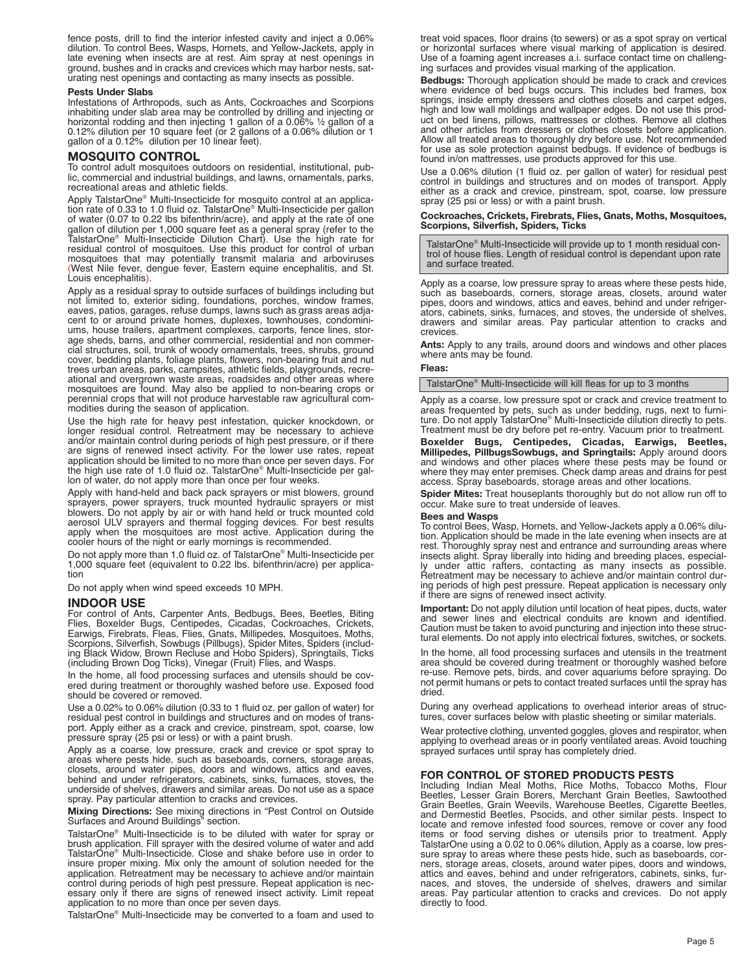fence posts, drill to find the interior infested cavity and inject a 0.06% dilution. To control Bees, Wasps, Hornets, and Yellow-Jackets, apply in late evening when insects are at rest. Aim spray at nest openings in ground, bushes and in cracks and crevices which may harbor nests, saturating nest openings and contacting as many insects as possible.

#### **Pests Under Slabs**

Infestations of Arthropods, such as Ants, Cockroaches and Scorpions inhabiting under slab area may be controlled by drilling and injecting or horizontal rodding and then injecting 1 gallon of a 0.06%  $\frac{1}{2}$  gallon of a 0.12% dilution per 10 square feet (or 2 gallons of a 0.06% dilution or 1 gallon of a 0.12% dilution per 10 linear feet).

### **MOSQUITO CONTROL**

To control adult mosquitoes outdoors on residential, institutional, public, commercial and industrial buildings, and lawns, ornamentals, parks, recreational areas and athletic fields.

Apply TalstarOne® Multi-Insecticide for mosquito control at an applica-tion rate of 0.33 to 1.0 fluid oz. TalstarOne® Multi-Insecticide per gallon of water (0.07 to 0.22 lbs bifenthrin/acre), and apply at the rate of one gallon of dilution per 1,000 square feet as a general spray (refer to the TalstarOne® Multi-Insecticide Dilution Chart). Use the high rate for residual control of mosquitoes. Use this product for control of urban mosquitoes that may potentially transmit malaria and arboviruses (West Nile fever, dengue fever, Eastern equine encephalitis, and St. Louis encephalitis).

Apply as a residual spray to outside surfaces of buildings including but not limited to, exterior siding, foundations, porches, window frames, eaves, patios, garages, refuse dumps, lawns such as grass areas adjacent to or around private homes, duplexes, townhouses, condominiums, house trailers, apartment complexes, carports, fence lines, storage sheds, barns, and other commercial, residential and non commercial structures, soil, trunk of woody ornamentals, trees, shrubs, ground cover, bedding plants, foliage plants, flowers, non-bearing fruit and nut trees urban areas, parks, campsites, athletic fields, playgrounds, recreational and overgrown waste areas, roadsides and other areas where mosquitoes are found. May also be applied to non-bearing crops or perennial crops that will not produce harvestable raw agricultural commodities during the season of application.

Use the high rate for heavy pest infestation, quicker knockdown, or longer residual control. Retreatment may be necessary to achieve and/or maintain control during periods of high pest pressure, or if there are signs of renewed insect activity. For the lower use rates, repeat application should be limited to no more than once per seven days. For the high use rate of 1.0 fluid oz. TalstarOne® Multi-Insecticide per gal-lon of water, do not apply more than once per four weeks.

Apply with hand-held and back pack sprayers or mist blowers, ground sprayers, power sprayers, truck mounted hydraulic sprayers or mist blowers. Do not apply by air or with hand held or truck mounted cold aerosol ULV sprayers and thermal fogging devices. For best results apply when the mosquitoes are most active. Application during the cooler hours of the night or early mornings is recommended.

Do not apply more than 1.0 fluid oz. of TalstarOne® Multi-Insecticide per 1,000 square feet (equivalent to 0.22 lbs. bifenthrin/acre) per application

Do not apply when wind speed exceeds 10 MPH.

#### **INDOOR USE**

For control of Ants, Carpenter Ants, Bedbugs, Bees, Beetles, Biting Flies, Boxelder Bugs, Centipedes, Cicadas, Cockroaches, Crickets, Earwigs, Firebrats, Fleas, Flies, Gnats, Millipedes, Mosquitoes, Moths, Scorpions, Silverfish, Sowbugs (Pillbugs), Spider Mites, Spiders (includ-ing Black Widow, Brown Recluse and Hobo Spiders), Springtails, Ticks (including Brown Dog Ticks), Vinegar (Fruit) Flies, and Wasps.

In the home, all food processing surfaces and utensils should be covered during treatment or thoroughly washed before use. Exposed food should be covered or removed.

Use a 0.02% to 0.06% dilution (0.33 to 1 fluid oz. per gallon of water) for residual pest control in buildings and structures and on modes of transport. Apply either as a crack and crevice, pinstream, spot, coarse, low pressure spray (25 psi or less) or with a paint brush.

Apply as a coarse, low pressure, crack and crevice or spot spray to areas where pests hide, such as baseboards, corners, storage areas, closets, around water pipes, doors and windows, attics and eaves, behind and under refrigerators, cabinets, sinks, furnaces, stoves, the underside of shelves, drawers and similar areas. Do not use as a space spray. Pay particular attention to cracks and crevices.

**Mixing Directions:** See mixing directions in "Pest Control on Outside Surfaces and Around Buildings" section.

TalstarOne® Multi-Insecticide is to be diluted with water for spray or brush application. Fill sprayer with the desired volume of water and add TalstarOne® Multi-Insecticide. Close and shake before use in order to insure proper mixing. Mix only the amount of solution needed for the application. Retreatment may be necessary to achieve and/or maintain control during periods of high pest pressure. Repeat application is necessary only if there are signs of renewed insect activity. Limit repeat application to no more than once per seven days.

TalstarOne® Multi-Insecticide may be converted to a foam and used to

treat void spaces, floor drains (to sewers) or as a spot spray on vertical or horizontal surfaces where visual marking of application is desired. Use of a foaming agent increases a.i. surface contact time on challeng-ing surfaces and provides visual marking of the application.

**Bedbugs:** Thorough application should be made to crack and crevices where evidence of bed bugs occurs. This includes bed frames, box springs, inside empty dressers and clothes closets and carpet edges, high and low wall moldings and wallpaper edges. Do not use this product on bed linens, pillows, mattresses or clothes. Remove all clothes and other articles from dressers or clothes closets before application. Allow all treated areas to thoroughly dry before use. Not recommended for use as sole protection against bedbugs. If evidence of bedbugs is found in/on mattresses, use products approved for this use.

Use a 0.06% dilution (1 fluid oz. per gallon of water) for residual pest control in buildings and structures and on modes of transport. Apply either as a crack and crevice, pinstream, spot, coarse, low pressure spray (25 psi or less) or with a paint brush.

# **Cockroaches, Crickets, Firebrats, Flies, Gnats, Moths, Mosquitoes, Scorpions, Silverfish, Spiders, Ticks**

TalstarOne® Multi-Insecticide will provide up to 1 month residual control of house flies. Length of residual control is dependant upon rate and surface treated.

Apply as a coarse, low pressure spray to areas where these pests hide, such as baseboards, corners, storage areas, closets, around water pipes, doors and windows, attics and eaves, behind and under refrigerators, cabinets, sinks, furnaces, and stoves, the underside of shelves, drawers and similar areas. Pay particular attention to cracks and crevices.

**Ants:** Apply to any trails, around doors and windows and other places where ants may be found.

#### **Fleas:**

TalstarOne® Multi-Insecticide will kill fleas for up to 3 months

Apply as a coarse, low pressure spot or crack and crevice treatment to areas frequented by pets, such as under bedding, rugs, next to furni-ture. Do not apply TalstarOne® Multi-Insecticide dilution directly to pets. Treatment must be dry before pet re-entry. Vacuum prior to treatment.

**Boxelder Bugs, Centipedes, Cicadas, Earwigs, Beetles, Millipedes, PillbugsSowbugs, and Springtails:** Apply around doors and windows and other places where these pests may be found or where they may enter premises. Check damp areas and drains for pest access. Spray baseboards, storage areas and other locations.

**Spider Mites:** Treat houseplants thoroughly but do not allow run off to occur. Make sure to treat underside of leaves.

#### **Bees and Wasps**

To control Bees, Wasp, Hornets, and Yellow-Jackets apply a 0.06% dilu-tion. Application should be made in the late evening when insects are at rest. Thoroughly spray nest and entrance and surrounding areas where insects alight. Spray liberally into hiding and breeding places, especially under attic rafters, contacting as many insects as possible. Retreatment may be necessary to achieve and/or maintain control during periods of high pest pressure. Repeat application is necessary only if there are signs of renewed insect activity.

**Important:** Do not apply dilution until location of heat pipes, ducts, water and sewer lines and electrical conduits are known and identified. Caution must be taken to avoid puncturing and injection into these structural elements. Do not apply into electrical fixtures, switches, or sockets.

In the home, all food processing surfaces and utensils in the treatment area should be covered during treatment or thoroughly washed before re-use. Remove pets, birds, and cover aquariums before spraying. Do not permit humans or pets to contact treated surfaces until the spray has dried.

During any overhead applications to overhead interior areas of struc-tures, cover surfaces below with plastic sheeting or similar materials.

Wear protective clothing, unvented goggles, gloves and respirator, when applying to overhead areas or in poorly ventilated areas. Avoid touching sprayed surfaces until spray has completely dried.

### **FOR CONTROL OF STORED PRODUCTS PESTS**

Including Indian Meal Moths, Rice Moths, Tobacco Moths, Flour Beetles, Lesser Grain Borers, Merchant Grain Beetles, Sawtoothed Grain Beetles, Grain Weevils, Warehouse Beetles, Cigarette Beetles, and Dermestid Beetles, Psocids, and other similar pests. Inspect to locate and remove infested food sources, remove or cover any food items or food serving dishes or utensils prior to treatment. Apply TalstarOne using a 0.02 to 0.06% dilution, Apply as a coarse, low pressure spray to areas where these pests hide, such as baseboards, corners, storage areas, closets, around water pipes, doors and windows, attics and eaves, behind and under refrigerators, cabinets, sinks, furnaces, and stoves, the underside of shelves, drawers and similar areas. Pay particular attention to cracks and crevices. Do not apply directly to food.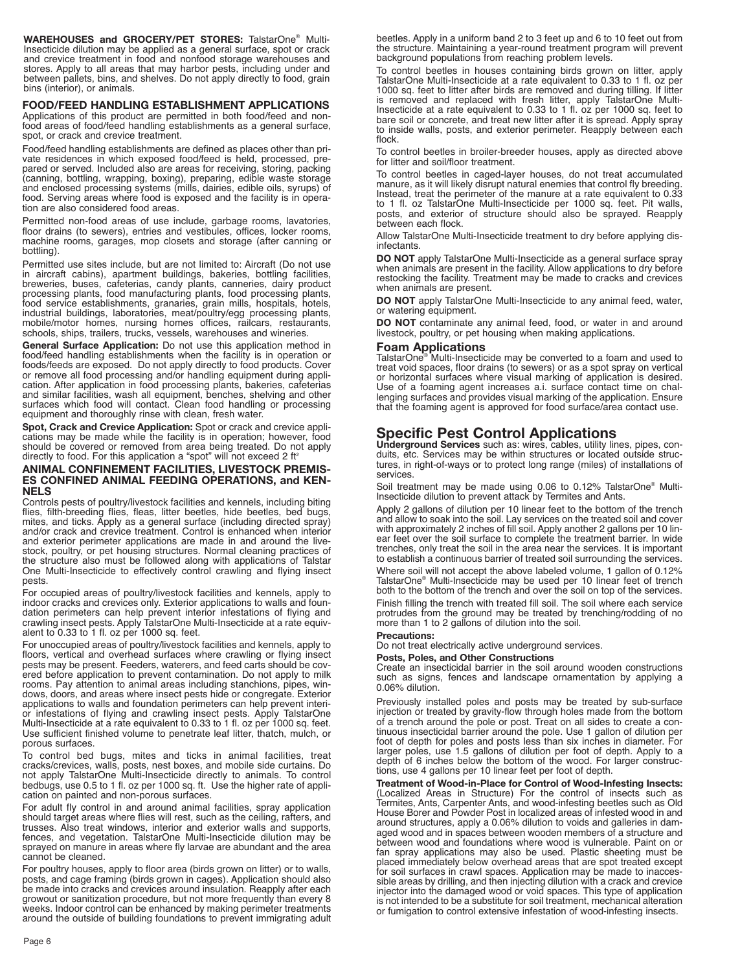**WAREHOUSES and GROCERY/PET STORES:** TalstarOne® Multi-Insecticide dilution may be applied as a general surface, spot or crack and crevice treatment in food and nonfood storage warehouses and stores. Apply to all areas that may harbor pests, including under and between pallets, bins, and shelves. Do not apply directly to food, grain bins (interior), or animals.

# **FOOD/FEED HANDLING ESTABLISHMENT APPLICATIONS**

Applications of this product are permitted in both food/feed and nonfood areas of food/feed handling establishments as a general surface, spot, or crack and crevice treatment.

Food/feed handling establishments are defined as places other than pri-vate residences in which exposed food/feed is held, processed, prepared or served. Included also are areas for receiving, storing, packing<br>(canning, bottling, wrapping, boxing), preparing, edible waste storage<br>and enclosed processing systems (mills, dairies, edible oils, syrups) of<br>food. tion are also considered food areas.

Permitted non-food areas of use include, garbage rooms, lavatories, floor drains (to sewers), entries and vestibules, offices, locker rooms, machine rooms, garages, mop closets and storage (after canning or bottling).

Permitted use sites include, but are not limited to: Aircraft (Do not use in aircraft cabins), apartment buildings, bakeries, bottling facilities, breweries, buses, cafeterias, candy plants, canneries, dairy product processing plants, food manufacturing plants, food processing plants, food service establishments, granaries, grain mills, hospitals, hotels, industrial buildings, laboratories, meat/poultry/egg processing plants, mobile/motor homes, nursing homes offices, railcars, restaurants, schools, ships, trailers, trucks, vessels, warehouses and wineries.

**General Surface Application:** Do not use this application method in food/feed handling establishments when the facility is in operation or foods/feeds are exposed. Do not apply directly to food products. Cover or remove all food processing and/or handling equipment during application. After application in food processing plants, bakeries, cafeterias and similar facilities, wash all equipment, benches, shelving and other surfaces which food will contact. Clean food handling or processing equipment and thoroughly rinse with clean, fresh water.

**Spot, Crack and Crevice Application:** Spot or crack and crevice applications may be made while the facility is in operation; however, food should be covered or removed from area being treated. Do not apply directly to food. For this application a "spot" will not exceed 2 ft<sup>2</sup>

#### **ANIMAL CONFINEMENT FACILITIES, LIVESTOCK PREMIS-ES CONFINED ANIMAL FEEDING OPERATIONS, and KEN-NELS**

Controls pests of poultry/livestock facilities and kennels, including biting flies, filth-breeding flies, fleas, litter beetles, hide beetles, bed bugs, mites, and ticks. Apply as a general surface (including directed spray) and/or crack and crevice treatment. Control is enhanced when interior and exterior perimeter applications are made in and around the live-stock, poultry, or pet housing structures. Normal cleaning practices of the structure also must be followed along with applications of Talstar One Multi-Insecticide to effectively control crawling and flying insect pests.

For occupied areas of poultry/livestock facilities and kennels, apply to indoor cracks and crevices only. Exterior applications to walls and foundation perimeters can help prevent interior infestations of flying and crawling insect pests. Apply TalstarOne Multi-Insecticide at a rate equiv-alent to 0.33 to 1 fl. oz per 1000 sq. feet.

For unoccupied areas of poultry/livestock facilities and kennels, apply to floors, vertical and overhead surfaces where crawling or flying insect pests may be present. Feeders, waterers, and feed carts should be covered before application to prevent contamination. Do not apply to milk rooms. Pay attention to animal areas including stanchions, pipes, windows, doors, and areas where insect pests hide or congregate. Exterior applications to walls and foundation perimeters can help prevent interior infestations of flying and crawling insect pests. Apply TalstarOne Multi-Insecticide at a rate equivalent to 0.33 to 1 fl. oz per 1000 sq. feet. Use sufficient finished volume to penetrate leaf litter, thatch, mulch, or porous surfaces.

To control bed bugs, mites and ticks in animal facilities, treat cracks/crevices, walls, posts, nest boxes, and mobile side curtains. Do not apply TalstarOne Multi-Insecticide directly to animals. To control bedbugs, use 0.5 to 1 fl. oz per 1000 sq. ft. Use the higher rate of application on painted and non-porous surfaces.

For adult fly control in and around animal facilities, spray application should target areas where flies will rest, such as the ceiling, rafters, and trusses. Also treat windows, interior and exterior walls and supports, fences, and vegetation. TalstarOne Multi-Insecticide dilution may be sprayed on manure in areas where fly larvae are abundant and the area cannot be cleaned.

For poultry houses, apply to floor area (birds grown on litter) or to walls, posts, and cage framing (birds grown in cages). Application should also be made into cracks and crevices around insulation. Reapply after each growout or sanitization procedure, but not more frequently than every 8 weeks. Indoor control can be enhanced by making perimeter treatments around the outside of building foundations to prevent immigrating adult beetles. Apply in a uniform band 2 to 3 feet up and 6 to 10 feet out from the structure. Maintaining a year-round treatment program will prevent background populations from reaching problem levels.

To control beetles in houses containing birds grown on litter, apply TalstarOne Multi-Insecticide at a rate equivalent to 0.33 to 1 fl. oz per 1000 sq. feet to litter after birds are removed and during tilling. If litter is removed and replaced with fresh litter, apply TalstarOne Multi-Insecticide at a rate equivalent to 0.33 to 1 fl. oz per 1000 sq. feet to bare soil or concrete, and treat new litter after it is spread. Apply spray to inside walls, posts, and exterior perimeter. Reapply between each flock.

To control beetles in broiler-breeder houses, apply as directed above for litter and soil/floor treatment.

To control beetles in caged-layer houses, do not treat accumulated manure, as it will likely disrupt natural enemies that control fly breeding. Instead, treat the perimeter of the manure at a rate equivalent to 0.33 to 1 fl. oz TalstarOne Multi-Insecticide per 1000 sq. feet. Pit walls, posts, and exterior of structure should also be sprayed. Reapply between each flock.

Allow TalstarOne Multi-Insecticide treatment to dry before applying disinfectants.

**DO NOT** apply TalstarOne Multi-Insecticide as a general surface spray when animals are present in the facility. Allow applications to dry before restocking the facility. Treatment may be made to cracks and crevices when animals are present.

**DO NOT** apply TalstarOne Multi-Insecticide to any animal feed, water, or watering equipment.

**DO NOT** contaminate any animal feed, food, or water in and around livestock, poultry, or pet housing when making applications.

## **Foam Applications**

TalstarOne® Multi-Insecticide may be converted to a foam and used to treat void spaces, floor drains (to sewers) or as a spot spray on vertical or horizontal surfaces where visual marking of application is desired. Use of a foaming agent increases a.i. surface contact time on challenging surfaces and provides visual marking of the application. Ensure that the foaming agent is approved for food surface/area contact use.

# **Specific Pest Control Applications**

**Underground Services** such as: wires, cables, utility lines, pipes, con-duits, etc. Services may be within structures or located outside structures, in right-of-ways or to protect long range (miles) of installations of services.

Soil treatment may be made using 0.06 to 0.12% TalstarOne® Multi-Insecticide dilution to prevent attack by Termites and Ants.

Apply 2 gallons of dilution per 10 linear feet to the bottom of the trench and allow to soak into the soil. Lay services on the treated soil and cover with approximately 2 inches of fill soil. Apply another 2 gallons per 10 linear feet over the soil surface to complete the treatment barrier. In wide trenches, only treat the soil in the area near the services. It is important to establish a continuous barrier of treated soil surrounding the services.

Where soil will not accept the above labeled volume, 1 gallon of 0.12% TalstarOne® Multi-Insecticide may be used per 10 linear feet of trench both to the bottom of the trench and over the soil on top of the services.

Finish filling the trench with treated fill soil. The soil where each service protrudes from the ground may be treated by trenching/rodding of no more than 1 to 2 gallons of dilution into the soil.

## **Precautions:**

Do not treat electrically active underground services.

#### **Posts, Poles, and Other Constructions**

Create an insecticidal barrier in the soil around wooden constructions such as signs, fences and landscape ornamentation by applying a 0.06% dilution.

Previously installed poles and posts may be treated by sub-surface injection or treated by gravity-flow through holes made from the bottom of a trench around the pole or post. Treat on all sides to create a continuous insecticidal barrier around the pole. Use 1 gallon of dilution per foot of depth for poles and posts less than six inches in diameter. For larger poles, use 1.5 gallons of dilution per foot of depth. Apply to a depth of 6 inches below the bottom of the wood. For larger constructions, use 4 gallons per 10 linear feet per foot of depth.

**Treatment of Wood-in-Place for Control of Wood-Infesting Insects:** (Localized Areas in Structure) For the control of insects such as Termites, Ants, Carpenter Ants, and wood-infesting beetles such as Old House Borer and Powder Post in localized areas of infested wood in and around structures, apply a 0.06% dilution to voids and galleries in dam-aged wood and in spaces between wooden members of a structure and between wood and foundations where wood is vulnerable. Paint on or fan spray applications may also be used. Plastic sheeting must be placed immediately below overhead areas that are spot treated except for soil surfaces in crawl spaces. Application may be made to inaccessible areas by drilling, and then injecting dilution with a crack and crevice injector into the damaged wood or void spaces. This type of application is not intended to be a substitute for soil treatment, mechanical alteration or fumigation to control extensive infestation of wood-infesting insects.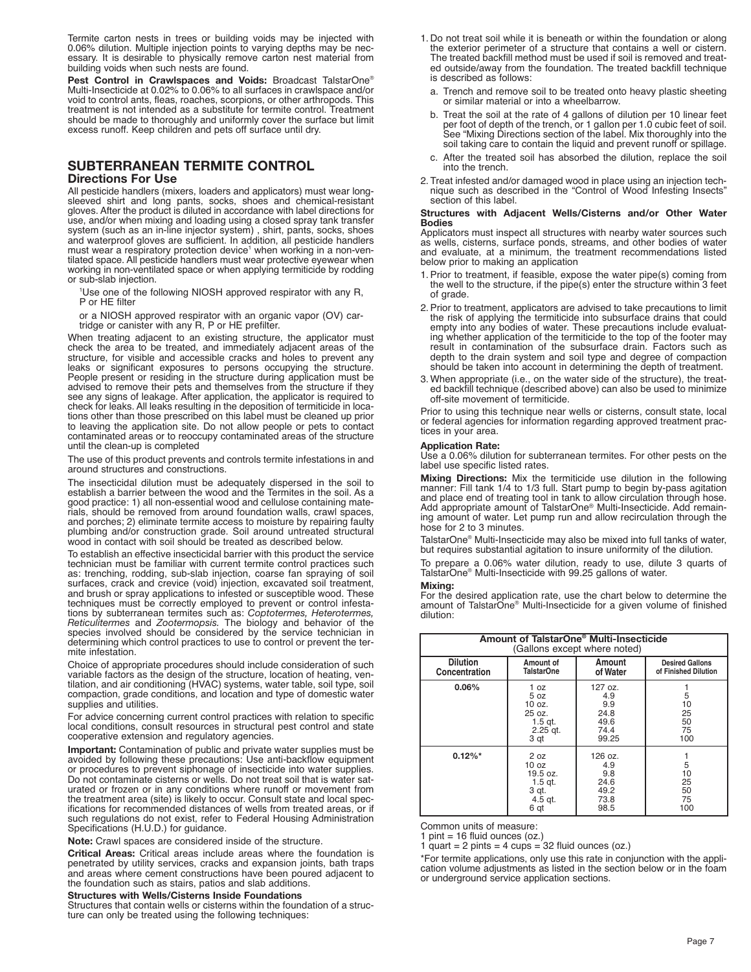Termite carton nests in trees or building voids may be injected with 0.06% dilution. Multiple injection points to varying depths may be necessary. It is desirable to physically remove carton nest material from building voids when such nests are found.

**Pest Control in Crawlspaces and Voids:** Broadcast TalstarOne® Multi-Insecticide at 0.02% to 0.06% to all surfaces in crawlspace and/or void to control ants, fleas, roaches, scorpions, or other arthropods. This treatment is not intended as a substitute for termite control. Treatment should be made to thoroughly and uniformly cover the surface but limit excess runoff. Keep children and pets off surface until dry.

# **SUBTERRANEAN TERMITE CONTROL**

## **Directions For Use**

All pesticide handlers (mixers, loaders and applicators) must wear long-sleeved shirt and long pants, socks, shoes and chemical-resistant gloves. After the product is diluted in accordance with label directions for use, and/or when mixing and loading using a closed spray tank transfer system (such as an in-line injector system), shirt, pants, socks, shoes and waterproof gloves are sufficient. In addition, all pesticide handlers<br>must wear a respiratory protection device<sup>1</sup> when working in a non-ventilated space. All pesticide handlers must wear protective eyewear when working in non-ventilated space or when applying termiticide by rodding or sub-slab injection.

<sup>1</sup>Use one of the following NIOSH approved respirator with any R, P or HE filter

or a NIOSH approved respirator with an organic vapor (OV) car-tridge or canister with any R, P or HE prefilter.

When treating adjacent to an existing structure, the applicator must check the area to be treated, and immediately adjacent areas of the structure, for visible and accessible cracks and holes to prevent any leaks or significant exposures to persons occupying the structure. People present or residing in the structure during application must be advised to remove their pets and themselves from the structure if they see any signs of leakage. After application, the applicator is required to check for leaks. All leaks resulting in the deposition of termiticide in locations other than those prescribed on this label must be cleaned up prior to leaving the application site. Do not allow people or pets to contact contaminated areas or to reoccupy contaminated areas of the structure until the clean-up is completed

The use of this product prevents and controls termite infestations in and around structures and constructions.

The insecticidal dilution must be adequately dispersed in the soil to establish a barrier between the wood and the Termites in the soil. As a good practice: 1) all non-essential wood and cellulose containing materials, should be removed from around foundation walls, crawl spaces, and porches; 2) eliminate termite access to moisture by repairing faulty plumbing and/or construction grade. Soil around untreated structural wood in contact with soil should be treated as described below.

To establish an effective insecticidal barrier with this product the service technician must be familiar with current termite control practices such as: trenching, rodding, sub-slab injection, coarse fan spraying of soil surfaces, crack and crevice (void) injection, excavated soil treatment, and brush or spray applications to infested or susceptible wood. These techniques must be correctly employed to prevent or control infestations by subterranean termites such as: Coptotermes, Heterotermes,<br>Reticulitermes and Zootermopsis. The biology and behavior of the<br>species involved should be considered by the service technician in determining which control practices to use to control or prevent the termite infestation.

Choice of appropriate procedures should include consideration of such variable factors as the design of the structure, location of heating, ven-tilation, and air conditioning (HVAC) systems, water table, soil type, soil compaction, grade conditions, and location and type of domestic water supplies and utilities.

For advice concerning current control practices with relation to specific local conditions, consult resources in structural pest control and state cooperative extension and regulatory agencies.

**Important:** Contamination of public and private water supplies must be avoided by following these precautions: Use anti-backflow equipment or procedures to prevent siphonage of insecticide into water supplies. Do not contaminate cisterns or wells. Do not treat soil that is water saturated or frozen or in any conditions where runoff or movement from the treatment area (site) is likely to occur. Consult state and local specifications for recommended distances of wells from treated areas, or if such regulations do not exist, refer to Federal Housing Administration Specifications (H.U.D.) for guidance.

**Note:** Crawl spaces are considered inside of the structure.

**Critical Areas:** Critical areas include areas where the foundation is penetrated by utility services, cracks and expansion joints, bath traps and areas where cement constructions have been poured adjacent to the foundation such as stairs, patios and slab additions.

#### **Structures with Wells/Cisterns Inside Foundations**

Structures that contain wells or cisterns within the foundation of a structure can only be treated using the following techniques:

- 1. Do not treat soil while it is beneath or within the foundation or along the exterior perimeter of a structure that contains a well or cistern. The treated backfill method must be used if soil is removed and treated outside/away from the foundation. The treated backfill technique is described as follows:
	- a. Trench and remove soil to be treated onto heavy plastic sheeting or similar material or into a wheelbarrow.
	- b. Treat the soil at the rate of 4 gallons of dilution per 10 linear feet per foot of depth of the trench, or 1 gallon per 1.0 cubic feet of soil. See "Mixing Directions section of the label. Mix thoroughly into the soil taking care to contain the liquid and prevent runoff or spillage.
	- c. After the treated soil has absorbed the dilution, replace the soil into the trench.
- 2. Treat infested and/or damaged wood in place using an injection technique such as described in the "Control of Wood Infesting Insects" section of this label.

#### **Structures with Adjacent Wells/Cisterns and/or Other Water Bodies**

Applicators must inspect all structures with nearby water sources such as wells, cisterns, surface ponds, streams, and other bodies of water and evaluate, at a minimum, the treatment recommendations listed below prior to making an application

- 1. Prior to treatment, if feasible, expose the water pipe(s) coming from the well to the structure, if the pipe(s) enter the structure within 3 feet of grade.
- 2. Prior to treatment, applicators are advised to take precautions to limit the risk of applying the termiticide into subsurface drains that could empty into any bodies of water. These precautions include evaluat-ing whether application of the termiticide to the top of the footer may result in contamination of the subsurface drain. Factors such as depth to the drain system and soil type and degree of compaction should be taken into account in determining the depth of treatment.
- 3. When appropriate (i.e., on the water side of the structure), the treated backfill technique (described above) can also be used to minimize off-site movement of termiticide.

Prior to using this technique near wells or cisterns, consult state, local or federal agencies for information regarding approved treatment practices in your area.

#### **Application Rate:**

Use a 0.06% dilution for subterranean termites. For other pests on the label use specific listed rates.

**Mixing Directions:** Mix the termiticide use dilution in the following manner: Fill tank 1/4 to 1/3 full. Start pump to begin by-pass agitation and place end of treating tool in tank to allow circulation through hose. Add appropriate amount of TalstarOne® Multi-Insecticide. Add remaining amount of water. Let pump run and allow recirculation through the hose for 2 to 3 minutes.

TalstarOne® Multi-Insecticide may also be mixed into full tanks of water, but requires substantial agitation to insure uniformity of the dilution.

To prepare a 0.06% water dilution, ready to use, dilute 3 quarts of TalstarOne® Multi-Insecticide with 99.25 gallons of water.

#### **Mixing:**

For the desired application rate, use the chart below to determine the amount of TalstarOne® Multi-Insecticide for a given volume of finished dilution:

| Amount of TalstarOne <sup>®</sup> Multi-Insecticide<br>(Gallons except where noted) |                                                                     |                                                        |                                                |
|-------------------------------------------------------------------------------------|---------------------------------------------------------------------|--------------------------------------------------------|------------------------------------------------|
| <b>Dilution</b><br>Concentration                                                    | Amount of<br><b>TalstarOne</b>                                      | Amount<br>of Water                                     | <b>Desired Gallons</b><br>of Finished Dilution |
| 0.06%                                                                               | 1 oz<br>5 oz<br>10 oz.<br>25 oz.<br>$1.5$ qt.<br>$2.25$ gt.<br>3 qt | 127 oz.<br>4.9<br>9.9<br>24.8<br>49.6<br>74.4<br>99.25 | 5<br>10<br>25<br>50<br>75<br>100               |
| $0.12\%$ *                                                                          | 2 oz<br>10 oz<br>19.5 oz.<br>$1.5$ qt.<br>3 gt.<br>4.5 gt.<br>6 qt  | 126 oz.<br>4.9<br>9.8<br>24.6<br>49.2<br>73.8<br>98.5  | 5<br>10<br>25<br>50<br>75<br>100               |

Common units of measure:

 $pint = 16$  fluid ounces (oz.)

1 quart = 2 pints = 4 cups =  $32$  fluid ounces (oz.)

\*For termite applications, only use this rate in conjunction with the application volume adjustments as listed in the section below or in the foam or underground service application sections.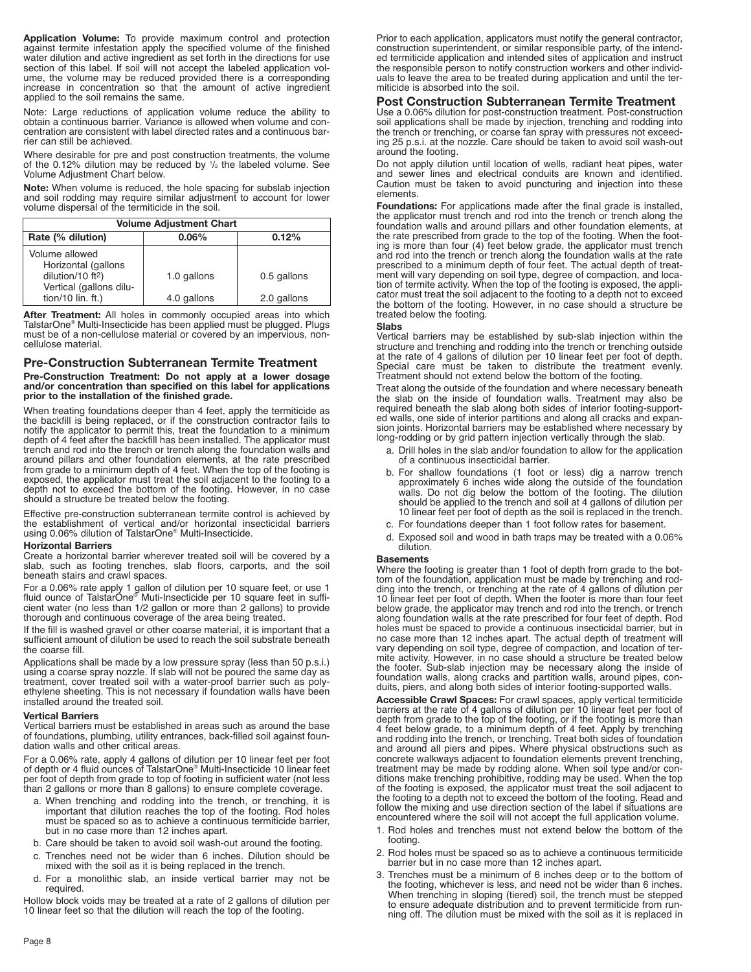**Application Volume:** To provide maximum control and protection against termite infestation apply the specified volume of the finished water dilution and active ingredient as set forth in the directions for use section of this label. If soil will not accept the labeled application volume, the volume may be reduced provided there is a corresponding increase in concentration so that the amount of active ingredient applied to the soil remains the same.

Note: Large reductions of application volume reduce the ability to obtain a continuous barrier. Variance is allowed when volume and concentration are consistent with label directed rates and a continuous barrier can still be achieved.

Where desirable for pre and post construction treatments, the volume of the 0.12% dilution may be reduced by  $1/2$  the labeled volume. See Volume Adjustment Chart below.

**Note:** When volume is reduced, the hole spacing for subslab injection and soil rodding may require similar adjustment to account for lower volume dispersal of the termiticide in the soil.

| <b>Volume Adjustment Chart</b>                                                                                                   |                            |                            |  |
|----------------------------------------------------------------------------------------------------------------------------------|----------------------------|----------------------------|--|
| Rate (% dilution)                                                                                                                | $0.06\%$                   | 0.12%                      |  |
| Volume allowed<br>Horizontal (gallons<br>dilution/10 ft <sup>2</sup> )<br>Vertical (gallons dilu-<br>tion/10 $\text{lin. ft.}$ ) | 1.0 gallons<br>4.0 gallons | 0.5 gallons<br>2.0 gallons |  |

**After Treatment:** All holes in commonly occupied areas into which TalstarOne® Multi-Insecticide has been applied must be plugged. Plugs must be of a non-cellulose material or covered by an impervious, noncellulose material.

## **Pre-Construction Subterranean Termite Treatment**

**Pre-Construction Treatment: Do not apply at a lower dosage and/or concentration than specified on this label for applications prior to the installation of the finished grade.**

When treating foundations deeper than 4 feet, apply the termiticide as the backfill is being replaced, or if the construction contractor fails to notify the applicator to permit this, treat the foundation to a minimum depth of 4 feet after the backfill has been installed. The applicator must trench and rod into the trench or trench along the foundation walls and around pillars and other foundation elements, at the rate prescribed from grade to a minimum depth of 4 feet. When the top of the footing is exposed, the applicator must treat the soil adjacent to the footing to a depth not to exceed the bottom of the footing. However, in no case should a structure be treated below the footing.

Effective pre-construction subterranean termite control is achieved by the establishment of vertical and/or horizontal insecticidal barriers using 0.06% dilution of TalstarOne® Multi-Insecticide.

#### **Horizontal Barriers**

Create a horizontal barrier wherever treated soil will be covered by a slab, such as footing trenches, slab floors, carports, and the soil beneath stairs and crawl spaces.

For a 0.06% rate apply 1 gallon of dilution per 10 square feet, or use 1 fluid ounce of TalstarOne® Muti-Insecticide per 10 square feet in sufficient water (no less than 1/2 gallon or more than 2 gallons) to provide thorough and continuous coverage of the area being treated.

If the fill is washed gravel or other coarse material, it is important that a sufficient amount of dilution be used to reach the soil substrate beneath the coarse fill.

Applications shall be made by a low pressure spray (less than 50 p.s.i.) using a coarse spray nozzle. If slab will not be poured the same day as treatment, cover treated soil with a water-proof barrier such as poly-ethylene sheeting. This is not necessary if foundation walls have been installed around the treated soil.

#### **Vertical Barriers**

Vertical barriers must be established in areas such as around the base of foundations, plumbing, utility entrances, back-filled soil against foundation walls and other critical areas.

For a 0.06% rate, apply 4 gallons of dilution per 10 linear feet per foot of depth or 4 fluid ounces of TalstarOne® Multi-Insecticide 10 linear feet per foot of depth from grade to top of footing in sufficient water (not less than 2 gallons or more than 8 gallons) to ensure complete coverage.

- a. When trenching and rodding into the trench, or trenching, it is important that dilution reaches the top of the footing. Rod holes must be spaced so as to achieve a continuous termiticide barrier, but in no case more than 12 inches apart.
- b. Care should be taken to avoid soil wash-out around the footing.
- c. Trenches need not be wider than 6 inches. Dilution should be mixed with the soil as it is being replaced in the trench.
- d. For a monolithic slab, an inside vertical barrier may not be required.

Hollow block voids may be treated at a rate of 2 gallons of dilution per 10 linear feet so that the dilution will reach the top of the footing.

Prior to each application, applicators must notify the general contractor, construction superintendent, or similar responsible party, of the intended termiticide application and intended sites of application and instruct the responsible person to notify construction workers and other individuals to leave the area to be treated during application and until the termiticide is absorbed into the soil.

### **Post Construction Subterranean Termite Treatment**

Use a 0.06% dilution for post-construction treatment. Post-construction soil applications shall be made by injection, trenching and rodding into the trench or trenching, or coarse fan spray with pressures not exceeding 25 p.s.i. at the nozzle. Care should be taken to avoid soil wash-out around the footing.

Do not apply dilution until location of wells, radiant heat pipes, water and sewer lines and electrical conduits are known and identified. Caution must be taken to avoid puncturing and injection into these elements.

**Foundations:** For applications made after the final grade is installed, the applicator must trench and rod into the trench or trench along the foundation walls and around pillars and other foundation elements, at the rate prescribed from grade to the top of the footing. When the footing is more than four (4) feet below grade, the applicator must trench and rod into the trench or trench along the foundation walls at the rate prescribed to a minimum depth of four feet. The actual depth of treatment will vary depending on soil type, degree of compaction, and loca-tion of termite activity. When the top of the footing is exposed, the applicator must treat the soil adjacent to the footing to a depth not to exceed the bottom of the footing. However, in no case should a structure be treated below the footing.

#### **Slabs**

Vertical barriers may be established by sub-slab injection within the structure and trenching and rodding into the trench or trenching outside at the rate of 4 gallons of dilution per 10 linear feet per foot of depth. Special care must be taken to distribute the treatment evenly. Treatment should not extend below the bottom of the footing.

Treat along the outside of the foundation and where necessary beneath the slab on the inside of foundation walls. Treatment may also be required beneath the slab along both sides of interior footing-supported walls, one side of interior partitions and along all cracks and expansion joints. Horizontal barriers may be established where necessary by long-rodding or by grid pattern injection vertically through the slab.

- a. Drill holes in the slab and/or foundation to allow for the application of a continuous insecticidal barrier.
- b. For shallow foundations (1 foot or less) dig a narrow trench approximately 6 inches wide along the outside of the foundation walls. Do not dig below the bottom of the footing. The dilution should be applied to the trench and soil at 4 gallons of dilution per 10 linear feet per foot of depth as the soil is replaced in the trench.
- c. For foundations deeper than 1 foot follow rates for basement.
- d. Exposed soil and wood in bath traps may be treated with a 0.06% dilution.

#### **Basements**

Where the footing is greater than 1 foot of depth from grade to the bottom of the foundation, application must be made by trenching and rodding into the trench, or trenching at the rate of 4 gallons of dilution per 10 linear feet per foot of depth. When the footer is more than four feet below grade, the applicator may trench and rod into the trench, or trench along foundation walls at the rate prescribed for four feet of depth. Rod holes must be spaced to provide a continuous insecticidal barrier, but in no case more than 12 inches apart. The actual depth of treatment will vary depending on soil type, degree of compaction, and location of ter-mite activity. However, in no case should a structure be treated below the footer. Sub-slab injection may be necessary along the inside of foundation walls, along cracks and partition walls, around pipes, con-duits, piers, and along both sides of interior footing-supported walls.

**Accessible Crawl Spaces:** For crawl spaces, apply vertical termiticide barriers at the rate of 4 gallons of dilution per 10 linear feet per foot of depth from grade to the top of the footing, or if the footing is more than 4 feet below grade, to a minimum depth of 4 feet. Apply by trenching and rodding into the trench, or trenching. Treat both sides of foundation and around all piers and pipes. Where physical obstructions such as concrete walkways adjacent to foundation elements prevent trenching,<br>treatment may be made by rodding alone. When soil type and/or con-<br>ditions make trenching prohibitive, rodding may be used. When the top<br>of the footing i the footing to a depth not to exceed the bottom of the footing. Read and follow the mixing and use direction section of the label if situations are encountered where the soil will not accept the full application volume.

- 1. Rod holes and trenches must not extend below the bottom of the footing.
- 2. Rod holes must be spaced so as to achieve a continuous termiticide barrier but in no case more than 12 inches apart.
- 3. Trenches must be a minimum of 6 inches deep or to the bottom of the footing, whichever is less, and need not be wider than 6 inches. When trenching in sloping (tiered) soil, the trench must be stepped to ensure adequate distribution and to prevent termiticide from running off. The dilution must be mixed with the soil as it is replaced in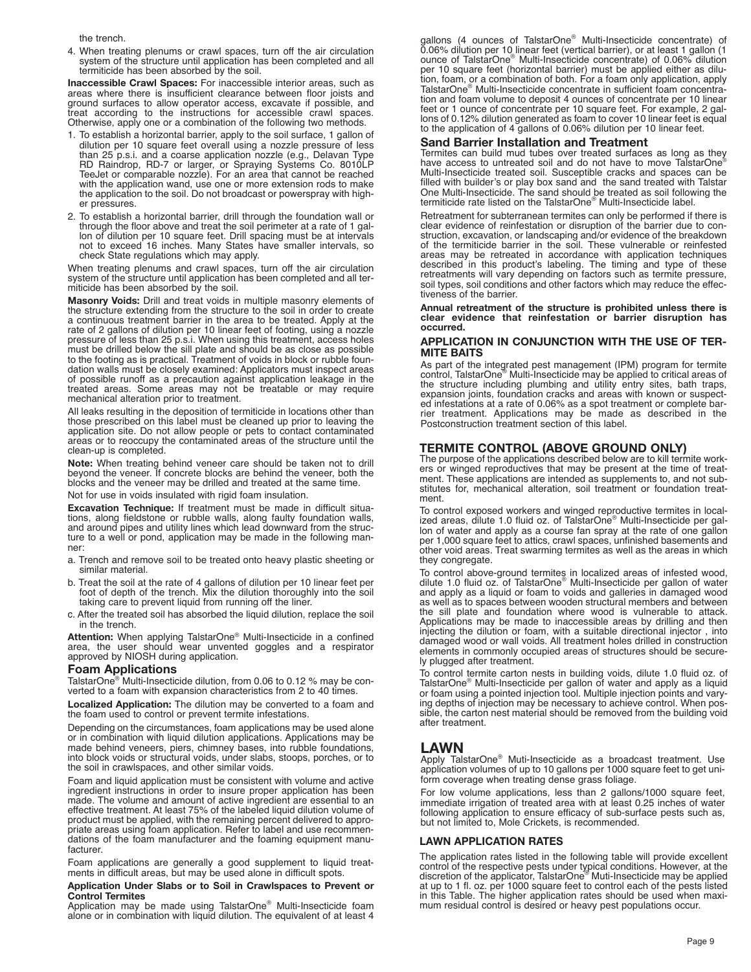the trench.

4. When treating plenums or crawl spaces, turn off the air circulation system of the structure until application has been completed and all termiticide has been absorbed by the soil.

**Inaccessible Crawl Spaces:** For inaccessible interior areas, such as areas where there is insufficient clearance between floor joists and ground surfaces to allow operator access, excavate if possible, and treat according to the instructions for accessible crawl spaces. Otherwise, apply one or a combination of the following two methods.

- 1. To establish a horizontal barrier, apply to the soil surface, 1 gallon of dilution per 10 square feet overall using a nozzle pressure of less than 25 p.s.i. and a coarse application nozzle (e.g., Delavan Type RD Raindrop, RD-7 or larger, or Spraying Systems Co. 8010LP TeeJet or comparable nozzle). For an area that cannot be reached with the application wand, use one or more extension rods to make the application to the soil. Do not broadcast or powerspray with higher pressures.
- 2. To establish a horizontal barrier, drill through the foundation wall or through the floor above and treat the soil perimeter at a rate of 1 gallon of dilution per 10 square feet. Drill spacing must be at intervals not to exceed 16 inches. Many States have smaller intervals, so check State regulations which may apply.

When treating plenums and crawl spaces, turn off the air circulation system of the structure until application has been completed and all termiticide has been absorbed by the soil.

**Masonry Voids:** Drill and treat voids in multiple masonry elements of the structure extending from the structure to the soil in order to create a continuous treatment barrier in the area to be treated. Apply at the rate of 2 gallons of dilution per 10 linear feet of footing, using a nozzle pressure of less than 25 p.s.i. When using this treatment, access holes must be drilled below the sill plate and should be as close as possible to the footing as is practical. Treatment of voids in block or rubble foundation walls must be closely examined: Applicators must inspect areas of possible runoff as a precaution against application leakage in the treated areas. Some areas may not be treatable or may require mechanical alteration prior to treatment.

All leaks resulting in the deposition of termiticide in locations other than those prescribed on this label must be cleaned up prior to leaving the application site. Do not allow people or pets to contact contaminated areas or to reoccupy the contaminated areas of the structure until the clean-up is completed.

**Note:** When treating behind veneer care should be taken not to drill beyond the veneer. If concrete blocks are behind the veneer, both the blocks and the veneer may be drilled and treated at the same time.

Not for use in voids insulated with rigid foam insulation.

**Excavation Technique:** If treatment must be made in difficult situations, along fieldstone or rubble walls, along faulty foundation walls, and around pipes and utility lines which lead downward from the structure to a well or pond, application may be made in the following manner:

- a. Trench and remove soil to be treated onto heavy plastic sheeting or similar material.
- b. Treat the soil at the rate of 4 gallons of dilution per 10 linear feet per foot of depth of the trench. Mix the dilution thoroughly into the soil taking care to prevent liquid from running off the liner.
- c. After the treated soil has absorbed the liquid dilution, replace the soil in the trench.

**Attention:** When applying TalstarOne® Multi-Insecticide in a confined area, the user should wear unvented goggles and a respirator approved by NIOSH during application.

### **Foam Applications**

TalstarOne® Multi-Insecticide dilution, from 0.06 to 0.12 % may be converted to a foam with expansion characteristics from 2 to 40 times.

**Localized Application:** The dilution may be converted to a foam and the foam used to control or prevent termite infestations.

Depending on the circumstances, foam applications may be used alone or in combination with liquid dilution applications. Applications may be made behind veneers, piers, chimney bases, into rubble foundations, into block voids or structural voids, under slabs, stoops, porches, or to the soil in crawlspaces, and other similar voids.

Foam and liquid application must be consistent with volume and active ingredient instructions in order to insure proper application has been made. The volume and amount of active ingredient are essential to an effective treatment. At least 75% of the labeled liquid dilution volume of product must be applied, with the remaining percent delivered to appro-priate areas using foam application. Refer to label and use recommendations of the foam manufacturer and the foaming equipment manufacturer.

Foam applications are generally a good supplement to liquid treatments in difficult areas, but may be used alone in difficult spots.

# **Application Under Slabs or to Soil in Crawlspaces to Prevent or Control Termites**

Application may be made using TalstarOne® Multi-Insecticide foam alone or in combination with liquid dilution. The equivalent of at least 4

gallons (4 ounces of TalstarOne® Multi-Insecticide concentrate) of 0.06% dilution per 10 linear feet (vertical barrier), or at least 1 gallon (1 ounce of TalstarOne® Multi-Insecticide concentrate) of 0.06% dilution per 10 square feet (horizontal barrier) must be applied either as dilution, foam, or a combination of both. For a foam only application, apply TalstarOne® Multi-Insecticide concentrate in sufficient foam concentration and foam volume to deposit 4 ounces of concentrate per 10 linear feet or 1 ounce of concentrate per 10 square feet. For example, 2 gallons of 0.12% dilution generated as foam to cover 10 linear feet is equal to the application of 4 gallons of 0.06% dilution per 10 linear feet.

### **Sand Barrier Installation and Treatment**

Termites can build mud tubes over treated surfaces as long as they have access to untreated soil and do not have to move TalstarOne® Multi-Insecticide treated soil. Susceptible cracks and spaces can be filled with builder's or play box sand and the sand treated with Talstar One Multi-Insecticide. The sand should be treated as soil following the termiticide rate listed on the TalstarOne® Multi-Insecticide label.

Retreatment for subterranean termites can only be performed if there is clear evidence of reinfestation or disruption of the barrier due to construction, excavation, or landscaping and/or evidence of the breakdown of the termiticide barrier in the soil. These vulnerable or reinfested areas may be retreated in accordance with application techniques described in this product's labeling. The timing and type of these retreatments will vary depending on factors such as termite pressure, soil types, soil conditions and other factors which may reduce the effectiveness of the barrier.

#### **Annual retreatment of the structure is prohibited unless there is clear evidence that reinfestation or barrier disruption has occurred.**

#### **APPLICATION IN CONJUNCTION WITH THE USE OF TER-MITE BAITS**

As part of the integrated pest management (IPM) program for termite control, TalstarOne® Multi-Insecticide may be applied to critical areas of the structure including plumbing and utility entry sites, bath traps, expansion joints, foundation cracks and areas with known or suspected infestations at a rate of 0.06% as a spot treatment or complete bar-rier treatment. Applications may be made as described in the Postconstruction treatment section of this label.

## **TERMITE CONTROL (ABOVE GROUND ONLY)**

The purpose of the applications described below are to kill termite workers or winged reproductives that may be present at the time of treatment. These applications are intended as supplements to, and not substitutes for, mechanical alteration, soil treatment or foundation treatment.

To control exposed workers and winged reproductive termites in local-ized areas, dilute 1.0 fluid oz. of TalstarOne® Multi-Insecticide per gallon of water and apply as a course fan spray at the rate of one gallon per 1,000 square feet to attics, crawl spaces, unfinished basements and other void areas. Treat swarming termites as well as the areas in which they congregate.

To control above-ground termites in localized areas of infested wood, dilute 1.0 fluid oz. of TalstarOne® Multi-Insecticide per gallon of water and apply as a liquid or foam to voids and galleries in damaged wood as well as to spaces between wooden structural members and between the sill plate and foundation where wood is vulnerable to attack. Applications may be made to inaccessible areas by drilling and then injecting the dilution or foam, with a suitable directional injector , into damaged wood or wall voids. All treatment holes drilled in construction elements in commonly occupied areas of structures should be securely plugged after treatment.

To control termite carton nests in building voids, dilute 1.0 fluid oz. of TalstarOne® Multi-Insecticide per gallon of water and apply as a liquid or foam using a pointed injection tool. Multiple injection points and varying depths of injection may be necessary to achieve control. When possible, the carton nest material should be removed from the building void after treatment.

# **LAWN**

Apply TalstarOne® Muti-Insecticide as a broadcast treatment. Use application volumes of up to 10 gallons per 1000 square feet to get uniform coverage when treating dense grass foliage.

For low volume applications, less than 2 gallons/1000 square feet, immediate irrigation of treated area with at least 0.25 inches of water following application to ensure efficacy of sub-surface pests such as, but not limited to, Mole Crickets, is recommended.

## **LAWN APPLICATION RATES**

The application rates listed in the following table will provide excellent control of the respective pests under typical conditions. However, at the discretion of the applicator, TalstarOne® Muti-Insecticide may be applied at up to 1 fl. oz. per 1000 square feet to control each of the pests listed in this Table. The higher application rates should be used when maximum residual control is desired or heavy pest populations occur.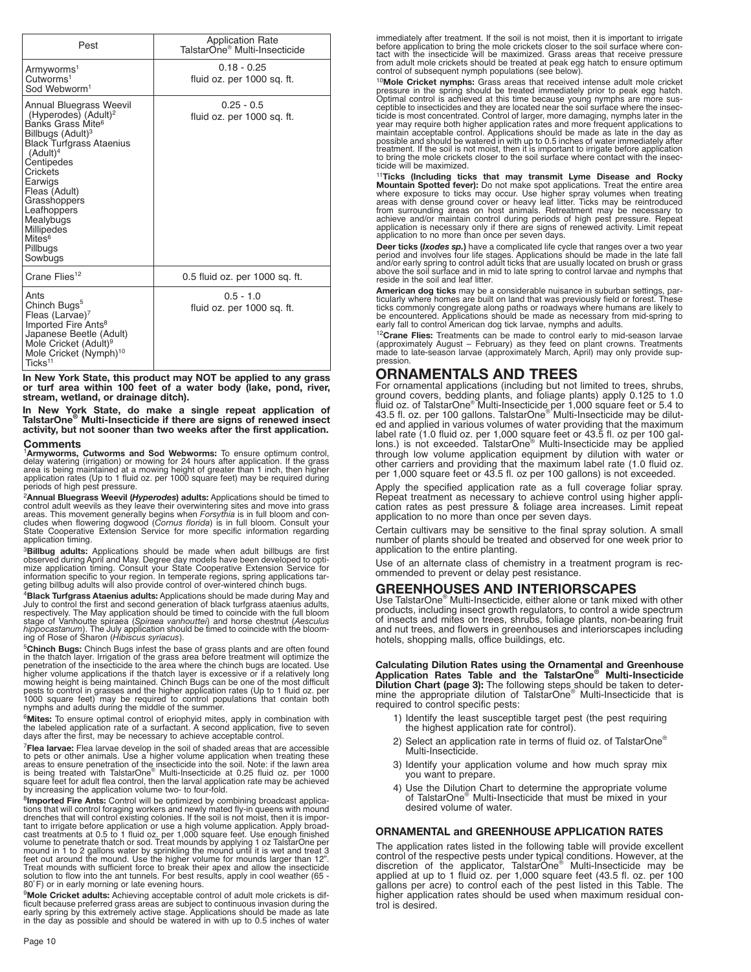| Pest                                                                                                                                                                                                                                                                                                                                                         | <b>Application Rate</b><br>TalstarOne <sup>®</sup> Multi-Insecticide |  |
|--------------------------------------------------------------------------------------------------------------------------------------------------------------------------------------------------------------------------------------------------------------------------------------------------------------------------------------------------------------|----------------------------------------------------------------------|--|
| Armyworms <sup>1</sup><br>Cutworms <sup>1</sup><br>Sod Webworm <sup>1</sup>                                                                                                                                                                                                                                                                                  | $0.18 - 0.25$<br>fluid oz. per 1000 sq. ft.                          |  |
| Annual Bluegrass Weevil<br>(Hyperodes) (Adult) <sup>2</sup><br>Banks Grass Mite <sup>6</sup><br>Billbugs (Adult) <sup>3</sup><br><b>Black Turfgrass Ataenius</b><br>(Adult) <sup>4</sup><br>Centipedes<br>Crickets<br>Earwigs<br>Fleas (Adult)<br>Grasshoppers<br>Leafhoppers<br>Mealybugs<br><b>Millipedes</b><br>Mites <sup>6</sup><br>Pillbugs<br>Sowbugs | $0.25 - 0.5$<br>fluid oz. per 1000 sq. ft.                           |  |
| Crane Flies <sup>12</sup>                                                                                                                                                                                                                                                                                                                                    | 0.5 fluid oz. per 1000 sq. ft.                                       |  |
| Ants<br>Chinch Bugs <sup>5</sup><br>Fleas (Larvae) <sup>7</sup><br>Imported Fire Ants <sup>8</sup><br>Japanese Beetle (Adult)<br>Mole Cricket (Adult) <sup>9</sup><br>Mole Cricket (Nymph) <sup>10</sup><br>Ticks <sup>11</sup>                                                                                                                              | $0.5 - 1.0$<br>fluid oz. per 1000 sq. ft.                            |  |

**In New York State, this product may NOT be applied to any grass or turf area within 100 feet of a water body (lake, pond, river, stream, wetland, or drainage ditch).**

**In New York State, do make a single repeat application of TalstarOne® Multi-Insecticide if there are signs of renewed insect activity, but not sooner than two weeks after the first application.**

### **Comments**

<sup>1</sup>**Armyworms, Cutworms and Sod Webworms:** To ensure optimum control, delay watering (irrigation) or mowing for 24 hours after application. If the grass<br>area is being maintained at a mowing height of greater than 1 inch, then higher<br>application rates (Up to 1 fluid oz. per 1000 square feet) periods of high pest pressure.

<sup>2</sup> Annual Bluegrass Weevil (Hyperodes) adults: Applications should be timed to control adult weevils as they leave their overwintering sites and move into grass areas. This movement generally begins when *Forsythia* is in application timing.

<sup>3</sup>**Billbug adults:** Applications should be made when adult billbugs are first observed during April and May. Degree day models have been developed to optimize application timing. Consult your State Cooperative Extension Service for<br>information specific to your region. In temperate regions, spring applications tar-<br>geting billbug adults will also provide control of over-wint

<sup>4</sup>**Black Turfgrass Ataenius adults:** Applications should be made during May and July to control the first and second generation of black turfgrass ataenius adults, respectively. The May application should be timed to coincide with the full bloom stage of Vanhoutte spiraea (S*piraea vanhouttei*) and horse chestnut (Aesc*ulus*<br>*hippocastanum*). The July application should be timed to coincide with the bloom-<br>ing of Rose of Sharon (*Hibiscus syriacus*).

<sup>5</sup>**Chinch Bugs:** Chinch Bugs infest the base of grass plants and are often found<br>in the thatch layer. Irrigation of the grass area before treatment will optimize the<br>penetration of the insecticide to the area where the ch mowing height is being maintained. Chinch Bugs can be one of the most difficult pests to control in grasses and the higher application rates (Up to 1 fluid oz. per 1000 square feet) may be required to control populations that contain both nymphs and adults during the middle of the summer.

<sup>6</sup>Mites: To ensure optimal control of eriophyid mites, apply in combination with<br>the labeled application rate of a surfactant. A second application, five to seven<br>days after the first, may be necessary to achieve acceptab

<sup>7</sup>**Flea larvae:** Flea larvae develop in the soil of shaded areas that are accessible to pets or other animals. Use a higher volume application when treating these<br>areas to ensure penetration of the insecticide into the soil. Note: if the lawn area<br>is being treated with TalstarOne® Multi-Insecticide at 0.25 by increasing the application volume two- to four-fold.

<sup>8</sup>**Imported Fire Ants:** Control will be optimized by combining broadcast applications that will control foraging workers and newly mated fly-in queens with mound forenches that will control existing colonies. If the soil

<sup>9</sup>**Mole Cricket adults:** Achieving acceptable control of adult mole crickets is difficult because preferred grass areas are subject to continuous invasion during the<br>early spring by this extremely active stage. Applications should be made as late<br>in the day as possible and should be watered in with up to

immediately after treatment. If the soil is not moist, then it is important to irrigate before application to bring the mole crickets closer to the soil surface where con-tact with the insecticide will be maximized. Grass areas that receive pressure from adult mole crickets should be treated at peak egg hatch to ensure optimum control of subsequent nymph populations (see below).

<sup>10</sup>Mole Cricket nymphs: Grass areas that received intense adult mole cricket<br>pressure in the spring should be treated immediately prior to peak egg hatch.<br>Optimal control is achieved at this time because young nymphs are ticide is most concentrated. Control of larger, more damaging, nymphs later in the<br>year may require both higher application rates and more frequent applications to<br>maintain acceptable control. Applications should be made a to bring the mole crickets closer to the soil surface where contact with the insec-ticide will be maximized.

<sup>11</sup>Ticks (Including ticks that may transmit Lyme Disease and Rocky<br>Mountain Spotted fever): Do not make spot applications. Treat the entire area<br>where exposure to ticks may occur. Use higher spray volumes when treating<br>ar achieve and/or maintain control during periods of high pest pressure. Repeat application is necessary only if there are signs of renewed activity. Limit repeat application to no more than once per seven days.

**Deer ticks (Ixodes sp.)** have a complicated life cycle that ranges over a two year period and involves four life stages. Applications should be made in the late fall and/or early spring to control adult ticks that are usually located on brush or grass above the soil surface and in mid to late spring to control larvae and nymphs that reside in the soil and leaf litter.

**American dog ticks** may be a considerable nuisance in suburban settings, particularly where homes are built on land that was previously field or forest. These<br>ticks commonly congregate along paths or roadways where humans are likely to<br>be encountered. Applications should be made as necessary from

<sup>12</sup>Crane Flies: Treatments can be made to control early to mid-season larvae<br>(approximately August – February) as they feed on plant crowns. Treatments<br>made to late-season larvae (approximately March, April) may only prov pression.

# **ORNAMENTALS AND TREES**

For ornamental applications (including but not limited to trees, shrubs,<br>ground covers, bedding plants, and foliage plants) apply 0.125 to 1.0<br>fluid oz. of TalstarOne® Multi-Insecticide per 1,000 square feet or 5.4 to<br>43.5 ed and applied in various volumes of water providing that the maximum label rate (1.0 fluid oz. per 1,000 square feet or 43.5 fl. oz per 100 gal-lons.) is not exceeded. TalstarOne® Multi-Insecticide may be applied through low volume application equipment by dilution with water or other carriers and providing that the maximum label rate (1.0 fluid oz. per 1,000 square feet or 43.5 fl. oz per 100 gallons) is not exceeded.

Apply the specified application rate as a full coverage foliar spray. Repeat treatment as necessary to achieve control using higher appli-cation rates as pest pressure & foliage area increases. Limit repeat application to no more than once per seven days.

Certain cultivars may be sensitive to the final spray solution. A small number of plants should be treated and observed for one week prior to application to the entire planting.

Use of an alternate class of chemistry in a treatment program is recommended to prevent or delay pest resistance.

#### **GREENHOUSES AND INTERIORSCAPES**

Use TalstarOne<sup>®</sup> Multi-Insecticide, either alone or tank mixed with other products, including insect growth regulators, to control a wide spectrum of insects and mites on trees, shrubs, foliage plants, non-bearing fruit and nut trees, and flowers in greenhouses and interiorscapes including hotels, shopping malls, office buildings, etc.

**Calculating Dilution Rates using the Ornamental and Greenhouse Application Rates Table and the TalstarOne® Multi-Insecticide Dilution Chart (page 3):** The following steps should be taken to deter-mine the appropriate dilution of TalstarOne® Multi-Insecticide that is required to control specific pests:

- 1) Identify the least susceptible target pest (the pest requiring the highest application rate for control).
- 2) Select an application rate in terms of fluid oz. of TalstarOne® Multi-Insecticide.
- 3) Identify your application volume and how much spray mix you want to prepare.
- 4) Use the Dilution Chart to determine the appropriate volume of TalstarOne® Multi-Insecticide that must be mixed in your desired volume of water.

#### **ORNAMENTAL and GREENHOUSE APPLICATION RATES**

The application rates listed in the following table will provide excellent control of the respective pests under typical conditions. However, at the discretion of the applicator, TalstarOne® Multi-Insecticide may be applied at up to 1 fluid oz. per 1,000 square feet (43.5 fl. oz. per 100 gallons per acre) to control each of the pest listed in this Table. The higher application rates should be used when maximum residual control is desired.